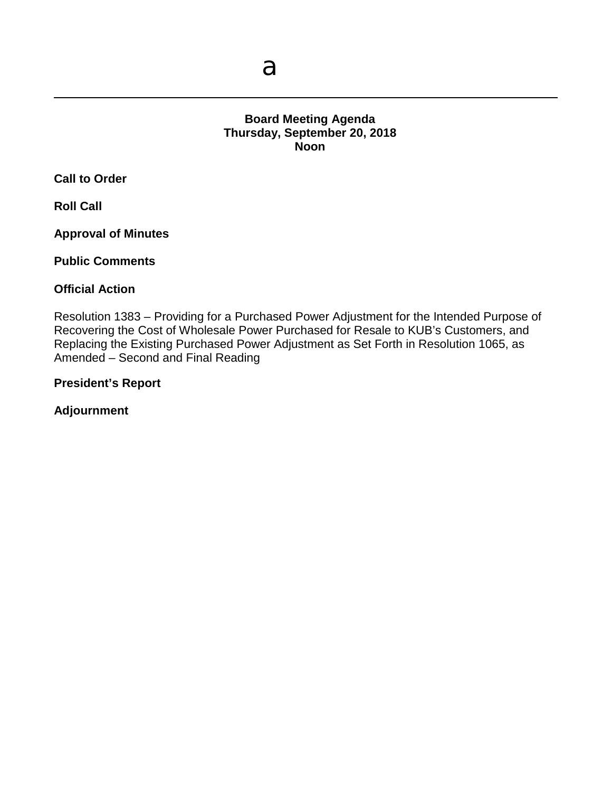## **Board Meeting Agenda Thursday, September 20, 2018 Noon**

**Call to Order**

**Roll Call**

**Approval of Minutes**

**Public Comments**

#### **Official Action**

Resolution 1383 – Providing for a Purchased Power Adjustment for the Intended Purpose of Recovering the Cost of Wholesale Power Purchased for Resale to KUB's Customers, and Replacing the Existing Purchased Power Adjustment as Set Forth in Resolution 1065, as Amended – Second and Final Reading

**President's Report**

**Adjournment**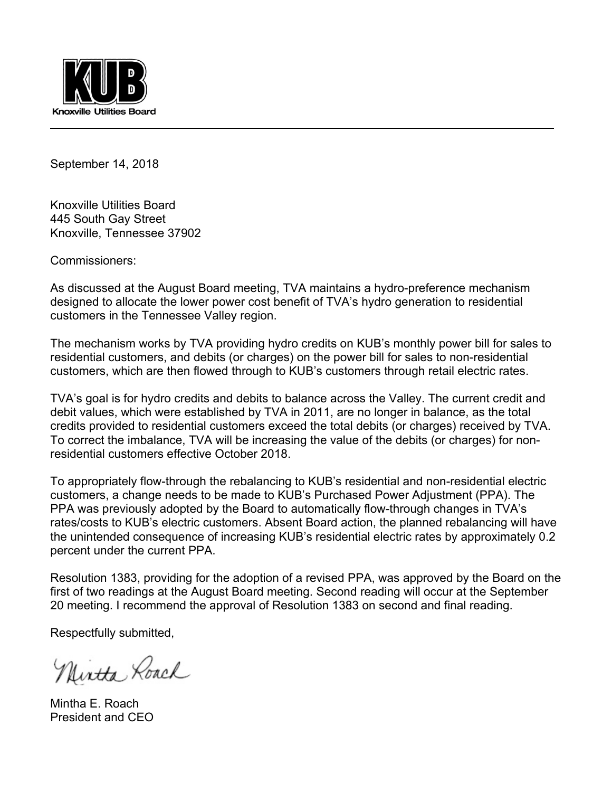

September 14, 2018

Knoxville Utilities Board 445 South Gay Street Knoxville, Tennessee 37902

Commissioners:

As discussed at the August Board meeting, TVA maintains a hydro-preference mechanism designed to allocate the lower power cost benefit of TVA's hydro generation to residential customers in the Tennessee Valley region.

The mechanism works by TVA providing hydro credits on KUB's monthly power bill for sales to residential customers, and debits (or charges) on the power bill for sales to non-residential customers, which are then flowed through to KUB's customers through retail electric rates.

TVA's goal is for hydro credits and debits to balance across the Valley. The current credit and debit values, which were established by TVA in 2011, are no longer in balance, as the total credits provided to residential customers exceed the total debits (or charges) received by TVA. To correct the imbalance, TVA will be increasing the value of the debits (or charges) for nonresidential customers effective October 2018.

To appropriately flow-through the rebalancing to KUB's residential and non-residential electric customers, a change needs to be made to KUB's Purchased Power Adjustment (PPA). The PPA was previously adopted by the Board to automatically flow-through changes in TVA's rates/costs to KUB's electric customers. Absent Board action, the planned rebalancing will have the unintended consequence of increasing KUB's residential electric rates by approximately 0.2 percent under the current PPA.

Resolution 1383, providing for the adoption of a revised PPA, was approved by the Board on the first of two readings at the August Board meeting. Second reading will occur at the September 20 meeting. I recommend the approval of Resolution 1383 on second and final reading.

Respectfully submitted,

Nintha Roach

Mintha E. Roach President and CEO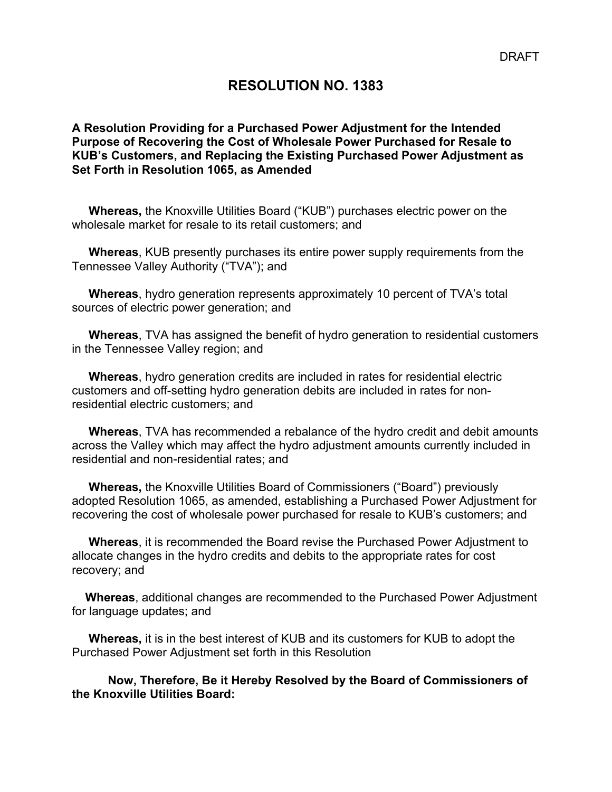## **RESOLUTION NO. 1383**

**A Resolution Providing for a Purchased Power Adjustment for the Intended Purpose of Recovering the Cost of Wholesale Power Purchased for Resale to KUB's Customers, and Replacing the Existing Purchased Power Adjustment as Set Forth in Resolution 1065, as Amended** 

 **Whereas,** the Knoxville Utilities Board ("KUB") purchases electric power on the wholesale market for resale to its retail customers; and

 **Whereas**, KUB presently purchases its entire power supply requirements from the Tennessee Valley Authority ("TVA"); and

 **Whereas**, hydro generation represents approximately 10 percent of TVA's total sources of electric power generation; and

 **Whereas**, TVA has assigned the benefit of hydro generation to residential customers in the Tennessee Valley region; and

 **Whereas**, hydro generation credits are included in rates for residential electric customers and off-setting hydro generation debits are included in rates for nonresidential electric customers; and

 **Whereas**, TVA has recommended a rebalance of the hydro credit and debit amounts across the Valley which may affect the hydro adjustment amounts currently included in residential and non-residential rates; and

 **Whereas,** the Knoxville Utilities Board of Commissioners ("Board") previously adopted Resolution 1065, as amended, establishing a Purchased Power Adjustment for recovering the cost of wholesale power purchased for resale to KUB's customers; and

 **Whereas**, it is recommended the Board revise the Purchased Power Adjustment to allocate changes in the hydro credits and debits to the appropriate rates for cost recovery; and

 **Whereas**, additional changes are recommended to the Purchased Power Adjustment for language updates; and

 **Whereas,** it is in the best interest of KUB and its customers for KUB to adopt the Purchased Power Adjustment set forth in this Resolution

**Now, Therefore, Be it Hereby Resolved by the Board of Commissioners of the Knoxville Utilities Board:**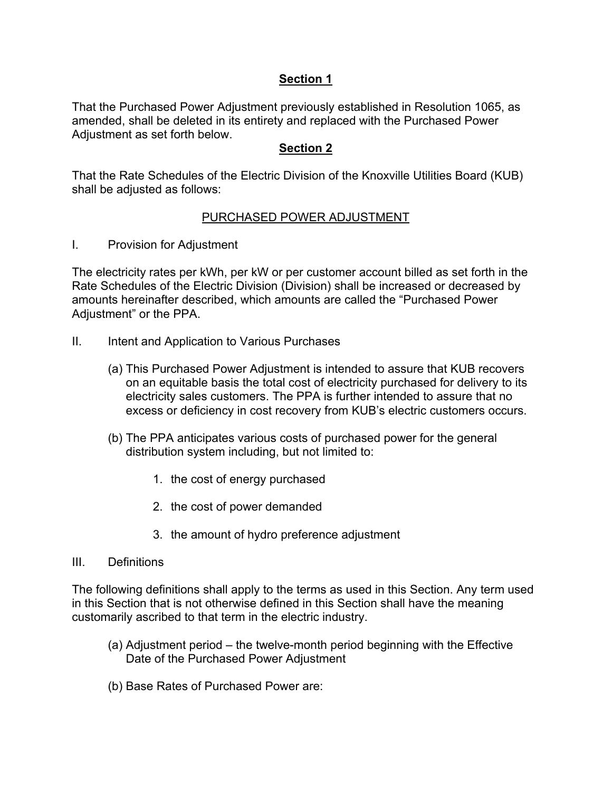## **Section 1**

That the Purchased Power Adjustment previously established in Resolution 1065, as amended, shall be deleted in its entirety and replaced with the Purchased Power Adjustment as set forth below.

## **Section 2**

That the Rate Schedules of the Electric Division of the Knoxville Utilities Board (KUB) shall be adjusted as follows:

## PURCHASED POWER ADJUSTMENT

I. Provision for Adjustment

The electricity rates per kWh, per kW or per customer account billed as set forth in the Rate Schedules of the Electric Division (Division) shall be increased or decreased by amounts hereinafter described, which amounts are called the "Purchased Power Adjustment" or the PPA.

- II. Intent and Application to Various Purchases
	- (a) This Purchased Power Adjustment is intended to assure that KUB recovers on an equitable basis the total cost of electricity purchased for delivery to its electricity sales customers. The PPA is further intended to assure that no excess or deficiency in cost recovery from KUB's electric customers occurs.
	- (b) The PPA anticipates various costs of purchased power for the general distribution system including, but not limited to:
		- 1. the cost of energy purchased
		- 2. the cost of power demanded
		- 3. the amount of hydro preference adjustment

#### III. Definitions

The following definitions shall apply to the terms as used in this Section. Any term used in this Section that is not otherwise defined in this Section shall have the meaning customarily ascribed to that term in the electric industry.

- (a) Adjustment period the twelve-month period beginning with the Effective Date of the Purchased Power Adjustment
- (b) Base Rates of Purchased Power are: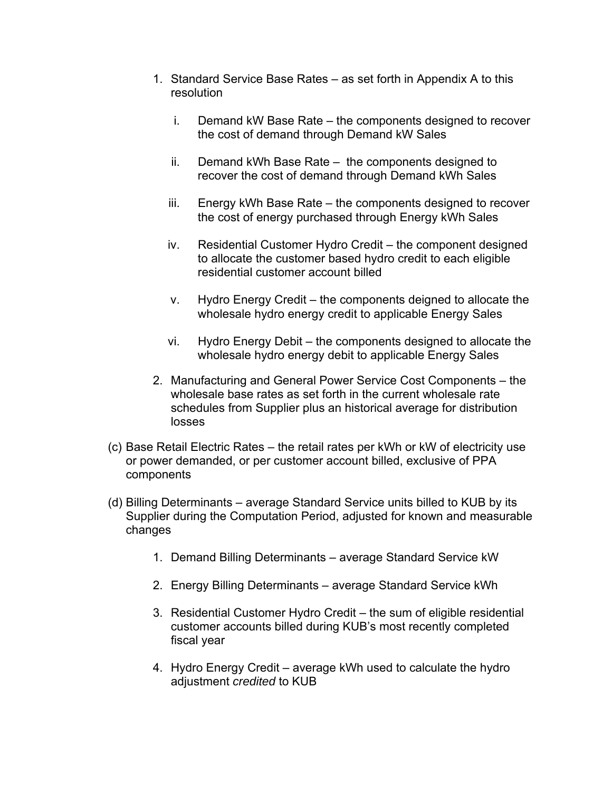- 1. Standard Service Base Rates as set forth in Appendix A to this resolution
	- i. Demand kW Base Rate the components designed to recover the cost of demand through Demand kW Sales
	- ii. Demand kWh Base Rate the components designed to recover the cost of demand through Demand kWh Sales
	- iii. Energy kWh Base Rate the components designed to recover the cost of energy purchased through Energy kWh Sales
	- iv. Residential Customer Hydro Credit the component designed to allocate the customer based hydro credit to each eligible residential customer account billed
	- v. Hydro Energy Credit the components deigned to allocate the wholesale hydro energy credit to applicable Energy Sales
	- vi. Hydro Energy Debit the components designed to allocate the wholesale hydro energy debit to applicable Energy Sales
- 2. Manufacturing and General Power Service Cost Components the wholesale base rates as set forth in the current wholesale rate schedules from Supplier plus an historical average for distribution losses
- (c) Base Retail Electric Rates the retail rates per kWh or kW of electricity use or power demanded, or per customer account billed, exclusive of PPA components
- (d) Billing Determinants average Standard Service units billed to KUB by its Supplier during the Computation Period, adjusted for known and measurable changes
	- 1. Demand Billing Determinants average Standard Service kW
	- 2. Energy Billing Determinants average Standard Service kWh
	- 3. Residential Customer Hydro Credit the sum of eligible residential customer accounts billed during KUB's most recently completed fiscal year
	- 4. Hydro Energy Credit average kWh used to calculate the hydro adjustment *credited* to KUB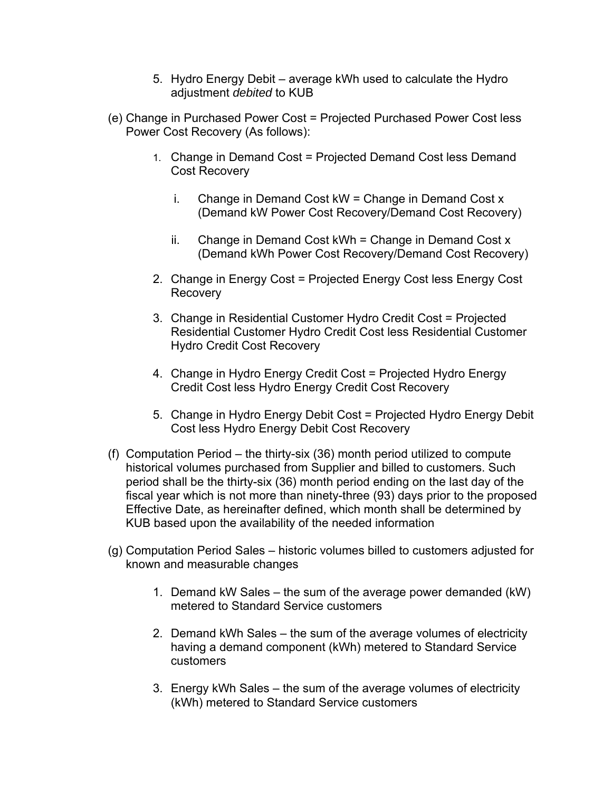- 5. Hydro Energy Debit average kWh used to calculate the Hydro adjustment *debited* to KUB
- (e) Change in Purchased Power Cost = Projected Purchased Power Cost less Power Cost Recovery (As follows):
	- 1. Change in Demand Cost = Projected Demand Cost less Demand Cost Recovery
		- i. Change in Demand Cost  $kW =$ Change in Demand Cost x (Demand kW Power Cost Recovery/Demand Cost Recovery)
		- ii. Change in Demand Cost kWh = Change in Demand Cost x (Demand kWh Power Cost Recovery/Demand Cost Recovery)
	- 2. Change in Energy Cost = Projected Energy Cost less Energy Cost **Recovery**
	- 3. Change in Residential Customer Hydro Credit Cost = Projected Residential Customer Hydro Credit Cost less Residential Customer Hydro Credit Cost Recovery
	- 4. Change in Hydro Energy Credit Cost = Projected Hydro Energy Credit Cost less Hydro Energy Credit Cost Recovery
	- 5. Change in Hydro Energy Debit Cost = Projected Hydro Energy Debit Cost less Hydro Energy Debit Cost Recovery
- (f) Computation Period the thirty-six (36) month period utilized to compute historical volumes purchased from Supplier and billed to customers. Such period shall be the thirty-six (36) month period ending on the last day of the fiscal year which is not more than ninety-three (93) days prior to the proposed Effective Date, as hereinafter defined, which month shall be determined by KUB based upon the availability of the needed information
- (g) Computation Period Sales historic volumes billed to customers adjusted for known and measurable changes
	- 1. Demand kW Sales the sum of the average power demanded (kW) metered to Standard Service customers
	- 2. Demand kWh Sales the sum of the average volumes of electricity having a demand component (kWh) metered to Standard Service customers
	- 3. Energy kWh Sales the sum of the average volumes of electricity (kWh) metered to Standard Service customers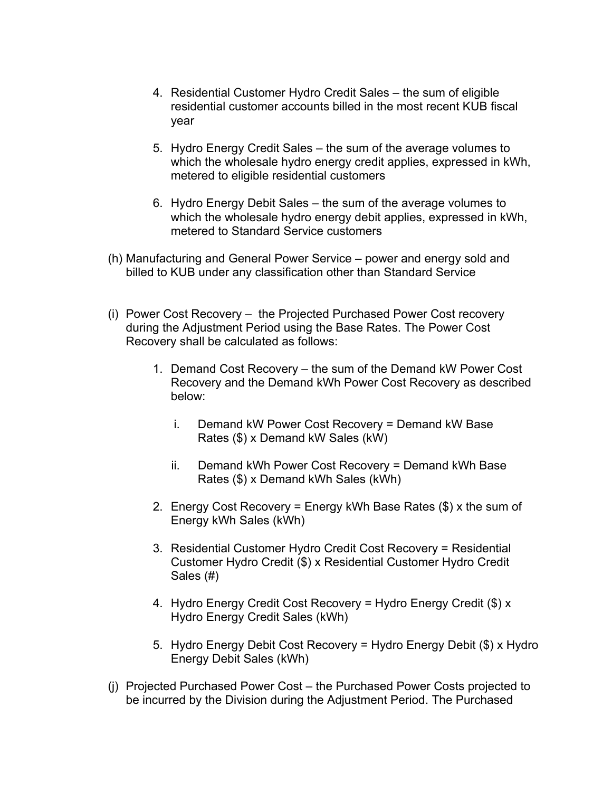- 4. Residential Customer Hydro Credit Sales the sum of eligible residential customer accounts billed in the most recent KUB fiscal year
- 5. Hydro Energy Credit Sales the sum of the average volumes to which the wholesale hydro energy credit applies, expressed in kWh, metered to eligible residential customers
- 6. Hydro Energy Debit Sales the sum of the average volumes to which the wholesale hydro energy debit applies, expressed in kWh, metered to Standard Service customers
- (h) Manufacturing and General Power Service power and energy sold and billed to KUB under any classification other than Standard Service
- (i) Power Cost Recovery the Projected Purchased Power Cost recovery during the Adjustment Period using the Base Rates. The Power Cost Recovery shall be calculated as follows:
	- 1. Demand Cost Recovery the sum of the Demand kW Power Cost Recovery and the Demand kWh Power Cost Recovery as described below:
		- i. Demand kW Power Cost Recovery = Demand kW Base Rates (\$) x Demand kW Sales (kW)
		- ii. Demand kWh Power Cost Recovery = Demand kWh Base Rates (\$) x Demand kWh Sales (kWh)
	- 2. Energy Cost Recovery = Energy kWh Base Rates (\$) x the sum of Energy kWh Sales (kWh)
	- 3. Residential Customer Hydro Credit Cost Recovery = Residential Customer Hydro Credit (\$) x Residential Customer Hydro Credit Sales (#)
	- 4. Hydro Energy Credit Cost Recovery = Hydro Energy Credit (\$) x Hydro Energy Credit Sales (kWh)
	- 5. Hydro Energy Debit Cost Recovery = Hydro Energy Debit (\$) x Hydro Energy Debit Sales (kWh)
- (j) Projected Purchased Power Cost the Purchased Power Costs projected to be incurred by the Division during the Adjustment Period. The Purchased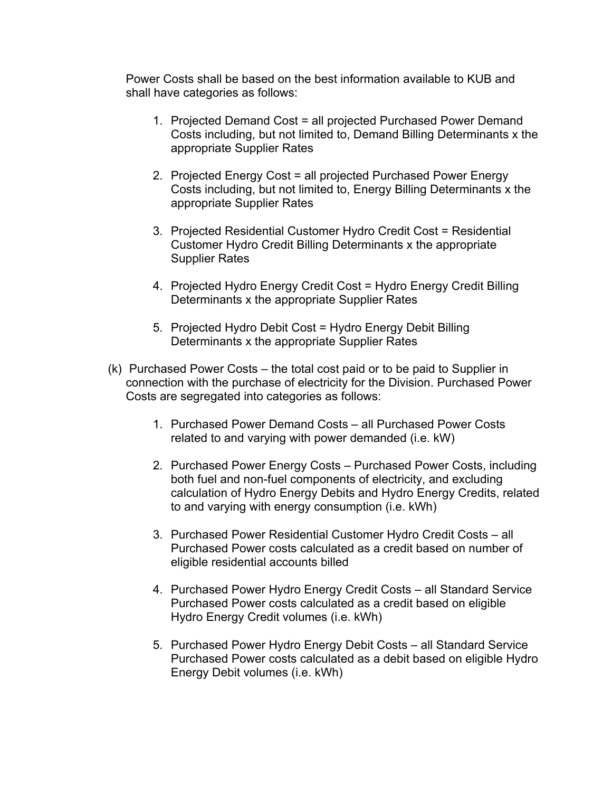Power Costs shall be based on the best information available to KUB and shall have categories as follows:

- 1. Projected Demand Cost = all projected Purchased Power Demand Costs including, but not limited to, Demand Billing Determinants x the appropriate Supplier Rates
- 2. Projected Energy Cost = all projected Purchased Power Energy Costs including, but not limited to, Energy Billing Determinants x the appropriate Supplier Rates
- 3. Projected Residential Customer Hydro Credit Cost = Residential Customer Hydro Credit Billing Determinants x the appropriate Supplier Rates
- 4. Projected Hydro Energy Credit Cost = Hydro Energy Credit Billing Determinants x the appropriate Supplier Rates
- 5. Projected Hydro Debit Cost = Hydro Energy Debit Billing Determinants x the appropriate Supplier Rates
- (k) Purchased Power Costs the total cost paid or to be paid to Supplier in connection with the purchase of electricity for the Division. Purchased Power Costs are segregated into categories as follows:
	- 1. Purchased Power Demand Costs all Purchased Power Costs related to and varying with power demanded (i.e. kW)
	- 2. Purchased Power Energy Costs Purchased Power Costs, including both fuel and non-fuel components of electricity, and excluding calculation of Hydro Energy Debits and Hydro Energy Credits, related to and varying with energy consumption (i.e. kWh)
	- 3. Purchased Power Residential Customer Hydro Credit Costs all Purchased Power costs calculated as a credit based on number of eligible residential accounts billed
	- 4. Purchased Power Hydro Energy Credit Costs all Standard Service Purchased Power costs calculated as a credit based on eligible Hydro Energy Credit volumes (i.e. kWh)
	- 5. Purchased Power Hydro Energy Debit Costs all Standard Service Purchased Power costs calculated as a debit based on eligible Hydro Energy Debit volumes (i.e. kWh)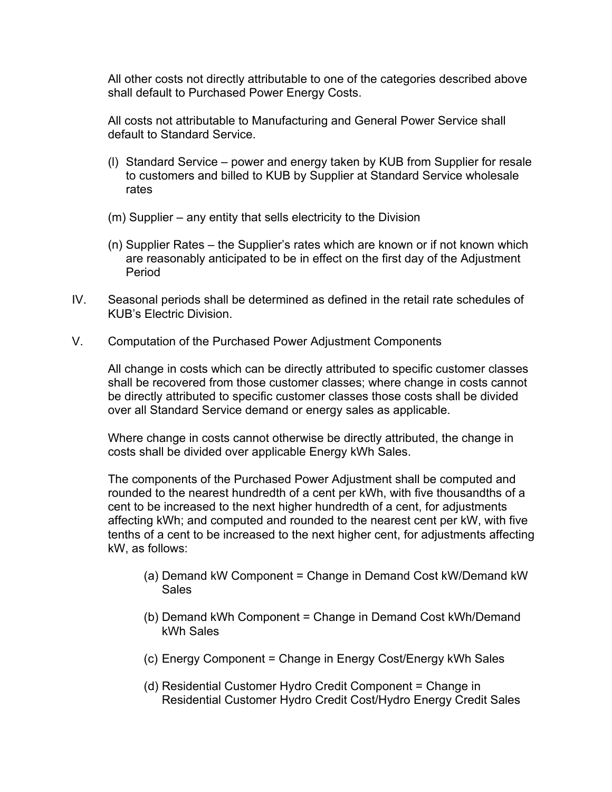All other costs not directly attributable to one of the categories described above shall default to Purchased Power Energy Costs.

All costs not attributable to Manufacturing and General Power Service shall default to Standard Service.

- (l) Standard Service power and energy taken by KUB from Supplier for resale to customers and billed to KUB by Supplier at Standard Service wholesale rates
- (m) Supplier any entity that sells electricity to the Division
- (n) Supplier Rates the Supplier's rates which are known or if not known which are reasonably anticipated to be in effect on the first day of the Adjustment Period
- IV. Seasonal periods shall be determined as defined in the retail rate schedules of KUB's Electric Division.
- V. Computation of the Purchased Power Adjustment Components

All change in costs which can be directly attributed to specific customer classes shall be recovered from those customer classes; where change in costs cannot be directly attributed to specific customer classes those costs shall be divided over all Standard Service demand or energy sales as applicable.

Where change in costs cannot otherwise be directly attributed, the change in costs shall be divided over applicable Energy kWh Sales.

The components of the Purchased Power Adjustment shall be computed and rounded to the nearest hundredth of a cent per kWh, with five thousandths of a cent to be increased to the next higher hundredth of a cent, for adjustments affecting kWh; and computed and rounded to the nearest cent per kW, with five tenths of a cent to be increased to the next higher cent, for adjustments affecting kW, as follows:

- (a) Demand kW Component = Change in Demand Cost kW/Demand kW **Sales**
- (b) Demand kWh Component = Change in Demand Cost kWh/Demand kWh Sales
- (c) Energy Component = Change in Energy Cost/Energy kWh Sales
- (d) Residential Customer Hydro Credit Component = Change in Residential Customer Hydro Credit Cost/Hydro Energy Credit Sales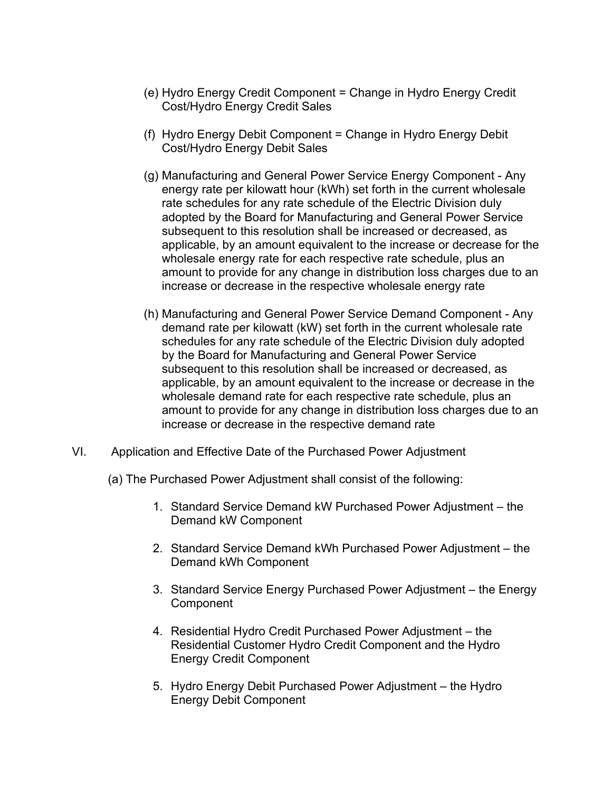- (e) Hydro Energy Credit Component = Change in Hydro Energy Credit Cost/Hydro Energy Credit Sales
- (f) Hydro Energy Debit Component = Change in Hydro Energy Debit Cost/Hydro Energy Debit Sales
- (g) Manufacturing and General Power Service Energy Component Any energy rate per kilowatt hour (kWh) set forth in the current wholesale rate schedules for any rate schedule of the Electric Division duly adopted by the Board for Manufacturing and General Power Service subsequent to this resolution shall be increased or decreased, as applicable, by an amount equivalent to the increase or decrease for the wholesale energy rate for each respective rate schedule, plus an amount to provide for any change in distribution loss charges due to an increase or decrease in the respective wholesale energy rate
- (h) Manufacturing and General Power Service Demand Component Any demand rate per kilowatt (kW) set forth in the current wholesale rate schedules for any rate schedule of the Electric Division duly adopted by the Board for Manufacturing and General Power Service subsequent to this resolution shall be increased or decreased, as applicable, by an amount equivalent to the increase or decrease in the wholesale demand rate for each respective rate schedule, plus an amount to provide for any change in distribution loss charges due to an increase or decrease in the respective demand rate
- VI. Application and Effective Date of the Purchased Power Adjustment
	- (a) The Purchased Power Adjustment shall consist of the following:
		- 1. Standard Service Demand kW Purchased Power Adjustment the Demand kW Component
		- 2. Standard Service Demand kWh Purchased Power Adjustment the Demand kWh Component
		- 3. Standard Service Energy Purchased Power Adjustment the Energy **Component**
		- 4. Residential Hydro Credit Purchased Power Adjustment the Residential Customer Hydro Credit Component and the Hydro Energy Credit Component
		- 5. Hydro Energy Debit Purchased Power Adjustment the Hydro Energy Debit Component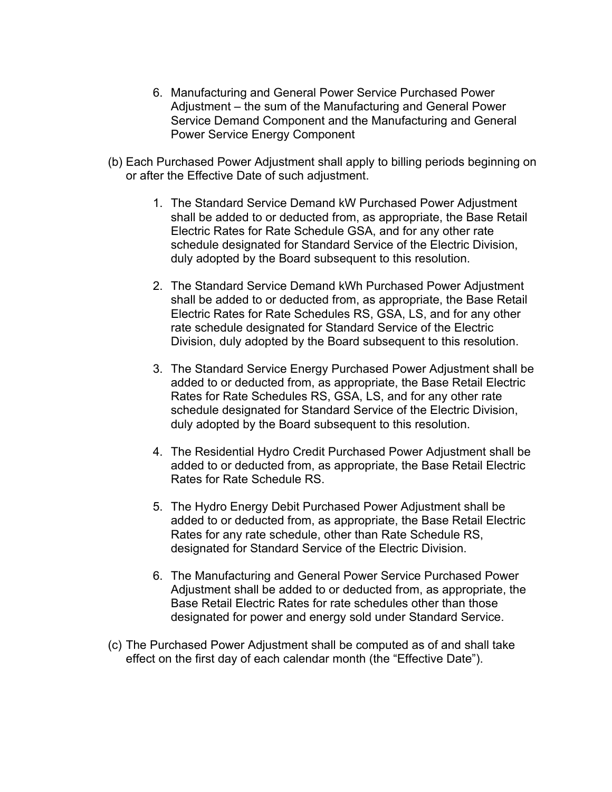- 6. Manufacturing and General Power Service Purchased Power Adjustment – the sum of the Manufacturing and General Power Service Demand Component and the Manufacturing and General Power Service Energy Component
- (b) Each Purchased Power Adjustment shall apply to billing periods beginning on or after the Effective Date of such adjustment.
	- 1. The Standard Service Demand kW Purchased Power Adjustment shall be added to or deducted from, as appropriate, the Base Retail Electric Rates for Rate Schedule GSA, and for any other rate schedule designated for Standard Service of the Electric Division, duly adopted by the Board subsequent to this resolution.
	- 2. The Standard Service Demand kWh Purchased Power Adjustment shall be added to or deducted from, as appropriate, the Base Retail Electric Rates for Rate Schedules RS, GSA, LS, and for any other rate schedule designated for Standard Service of the Electric Division, duly adopted by the Board subsequent to this resolution.
	- 3. The Standard Service Energy Purchased Power Adjustment shall be added to or deducted from, as appropriate, the Base Retail Electric Rates for Rate Schedules RS, GSA, LS, and for any other rate schedule designated for Standard Service of the Electric Division, duly adopted by the Board subsequent to this resolution.
	- 4. The Residential Hydro Credit Purchased Power Adjustment shall be added to or deducted from, as appropriate, the Base Retail Electric Rates for Rate Schedule RS.
	- 5. The Hydro Energy Debit Purchased Power Adjustment shall be added to or deducted from, as appropriate, the Base Retail Electric Rates for any rate schedule, other than Rate Schedule RS, designated for Standard Service of the Electric Division.
	- 6. The Manufacturing and General Power Service Purchased Power Adjustment shall be added to or deducted from, as appropriate, the Base Retail Electric Rates for rate schedules other than those designated for power and energy sold under Standard Service.
- (c) The Purchased Power Adjustment shall be computed as of and shall take effect on the first day of each calendar month (the "Effective Date").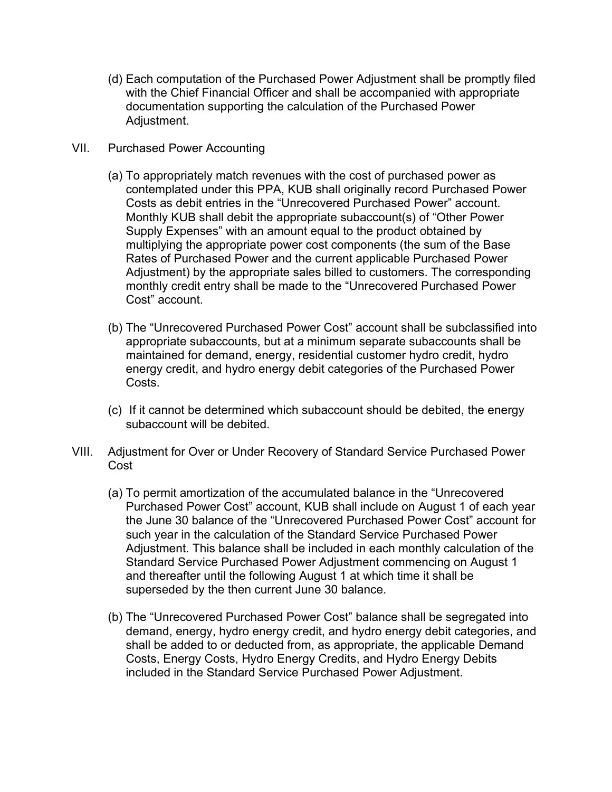- (d) Each computation of the Purchased Power Adjustment shall be promptly filed with the Chief Financial Officer and shall be accompanied with appropriate documentation supporting the calculation of the Purchased Power Adjustment.
- VII. Purchased Power Accounting
	- (a) To appropriately match revenues with the cost of purchased power as contemplated under this PPA, KUB shall originally record Purchased Power Costs as debit entries in the "Unrecovered Purchased Power" account. Monthly KUB shall debit the appropriate subaccount(s) of "Other Power Supply Expenses" with an amount equal to the product obtained by multiplying the appropriate power cost components (the sum of the Base Rates of Purchased Power and the current applicable Purchased Power Adjustment) by the appropriate sales billed to customers. The corresponding monthly credit entry shall be made to the "Unrecovered Purchased Power Cost" account.
	- (b) The "Unrecovered Purchased Power Cost" account shall be subclassified into appropriate subaccounts, but at a minimum separate subaccounts shall be maintained for demand, energy, residential customer hydro credit, hydro energy credit, and hydro energy debit categories of the Purchased Power Costs.
	- (c) If it cannot be determined which subaccount should be debited, the energy subaccount will be debited.
- VIII. Adjustment for Over or Under Recovery of Standard Service Purchased Power Cost
	- (a) To permit amortization of the accumulated balance in the "Unrecovered Purchased Power Cost" account, KUB shall include on August 1 of each year the June 30 balance of the "Unrecovered Purchased Power Cost" account for such year in the calculation of the Standard Service Purchased Power Adjustment. This balance shall be included in each monthly calculation of the Standard Service Purchased Power Adjustment commencing on August 1 and thereafter until the following August 1 at which time it shall be superseded by the then current June 30 balance.
	- (b) The "Unrecovered Purchased Power Cost" balance shall be segregated into demand, energy, hydro energy credit, and hydro energy debit categories, and shall be added to or deducted from, as appropriate, the applicable Demand Costs, Energy Costs, Hydro Energy Credits, and Hydro Energy Debits included in the Standard Service Purchased Power Adjustment.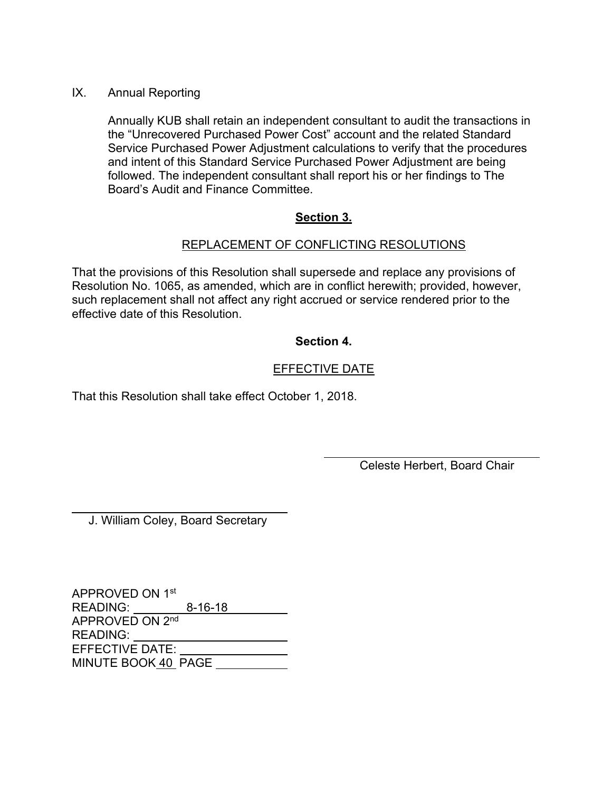#### IX. Annual Reporting

Annually KUB shall retain an independent consultant to audit the transactions in the "Unrecovered Purchased Power Cost" account and the related Standard Service Purchased Power Adjustment calculations to verify that the procedures and intent of this Standard Service Purchased Power Adjustment are being followed. The independent consultant shall report his or her findings to The Board's Audit and Finance Committee.

## **Section 3.**

## REPLACEMENT OF CONFLICTING RESOLUTIONS

That the provisions of this Resolution shall supersede and replace any provisions of Resolution No. 1065, as amended, which are in conflict herewith; provided, however, such replacement shall not affect any right accrued or service rendered prior to the effective date of this Resolution.

## **Section 4.**

## EFFECTIVE DATE

 $\overline{a}$ 

That this Resolution shall take effect October 1, 2018.

Celeste Herbert, Board Chair

J. William Coley, Board Secretary

 $\overline{a}$ 

APPROVED ON 1st READING: <u>\_\_\_\_\_\_\_\_\_\_8-16-18</u> APPROVED ON 2nd READING: EFFECTIVE DATE: MINUTE BOOK 40 PAGE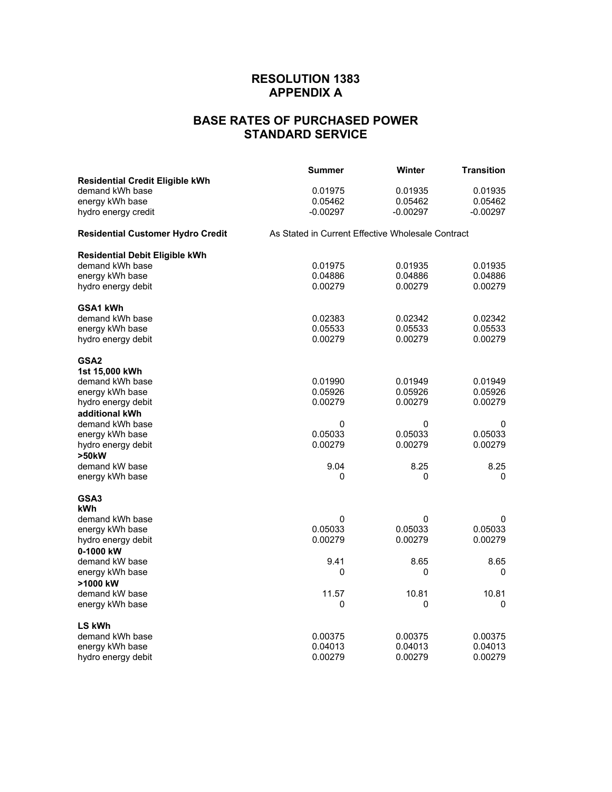## **RESOLUTION 1383 APPENDIX A**

# **BASE RATES OF PURCHASED POWER STANDARD SERVICE**

|                                          | Summer                                            | Winter     | <b>Transition</b> |  |
|------------------------------------------|---------------------------------------------------|------------|-------------------|--|
| <b>Residential Credit Eligible kWh</b>   |                                                   |            |                   |  |
| demand kWh base                          | 0.01975                                           | 0.01935    | 0.01935           |  |
| energy kWh base                          | 0.05462                                           | 0.05462    | 0.05462           |  |
| hydro energy credit                      | $-0.00297$                                        | $-0.00297$ | $-0.00297$        |  |
| <b>Residential Customer Hydro Credit</b> | As Stated in Current Effective Wholesale Contract |            |                   |  |
| Residential Debit Eligible kWh           |                                                   |            |                   |  |
| demand kWh base                          | 0.01975                                           | 0.01935    | 0.01935           |  |
| energy kWh base                          | 0.04886                                           | 0.04886    | 0.04886           |  |
| hydro energy debit                       | 0.00279                                           | 0.00279    | 0.00279           |  |
| GSA1 kWh                                 |                                                   |            |                   |  |
| demand kWh base                          | 0.02383                                           | 0.02342    | 0.02342           |  |
| energy kWh base                          | 0.05533                                           | 0.05533    | 0.05533           |  |
| hydro energy debit                       | 0.00279                                           | 0.00279    | 0.00279           |  |
| GSA2                                     |                                                   |            |                   |  |
| 1st 15,000 kWh                           |                                                   |            |                   |  |
| demand kWh base                          | 0.01990                                           | 0.01949    | 0.01949           |  |
| energy kWh base                          | 0.05926                                           | 0.05926    | 0.05926           |  |
| hydro energy debit                       | 0.00279                                           | 0.00279    | 0.00279           |  |
| additional kWh                           |                                                   |            |                   |  |
| demand kWh base                          | 0                                                 | 0          | 0                 |  |
| energy kWh base                          | 0.05033                                           | 0.05033    | 0.05033           |  |
| hydro energy debit                       | 0.00279                                           | 0.00279    | 0.00279           |  |
| >50kW                                    |                                                   |            |                   |  |
| demand kW base                           | 9.04                                              | 8.25       | 8.25              |  |
| energy kWh base                          | 0                                                 | 0          | 0                 |  |
| GSA3                                     |                                                   |            |                   |  |
| kWh                                      |                                                   |            |                   |  |
| demand kWh base                          | 0                                                 | 0          | 0                 |  |
| energy kWh base                          | 0.05033                                           | 0.05033    | 0.05033           |  |
| hydro energy debit                       | 0.00279                                           | 0.00279    | 0.00279           |  |
| 0-1000 kW                                |                                                   |            |                   |  |
| demand kW base                           | 9.41                                              | 8.65       | 8.65              |  |
| energy kWh base                          | 0                                                 | 0          | 0                 |  |
| >1000 kW                                 |                                                   |            |                   |  |
| demand kW base                           | 11.57                                             | 10.81      | 10.81             |  |
| energy kWh base                          | 0                                                 | 0          | 0                 |  |
| <b>LS kWh</b>                            |                                                   |            |                   |  |
| demand kWh base                          | 0.00375                                           | 0.00375    | 0.00375           |  |
| energy kWh base                          | 0.04013                                           | 0.04013    | 0.04013           |  |
| hydro energy debit                       | 0.00279                                           | 0.00279    | 0.00279           |  |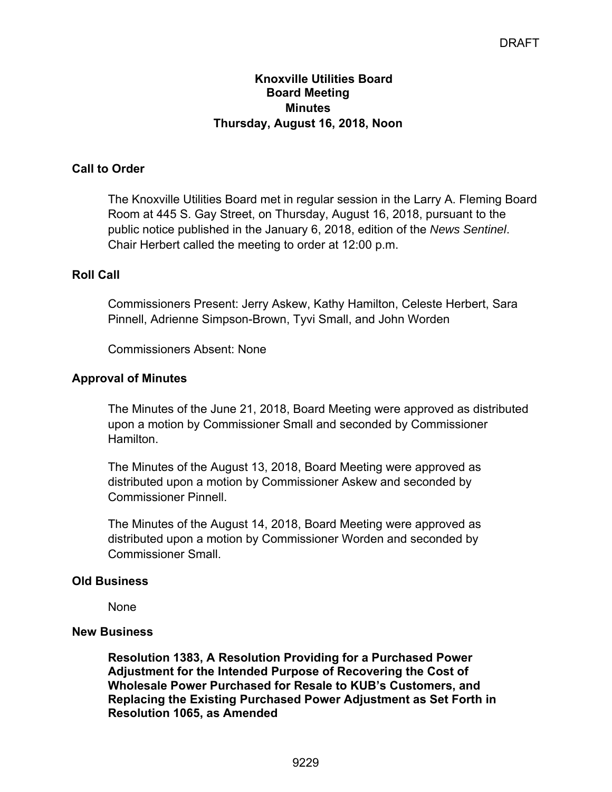## **Knoxville Utilities Board Board Meeting Minutes Thursday, August 16, 2018, Noon**

## **Call to Order**

The Knoxville Utilities Board met in regular session in the Larry A. Fleming Board Room at 445 S. Gay Street, on Thursday, August 16, 2018, pursuant to the public notice published in the January 6, 2018, edition of the *News Sentinel*. Chair Herbert called the meeting to order at 12:00 p.m.

## **Roll Call**

Commissioners Present: Jerry Askew, Kathy Hamilton, Celeste Herbert, Sara Pinnell, Adrienne Simpson-Brown, Tyvi Small, and John Worden

Commissioners Absent: None

## **Approval of Minutes**

The Minutes of the June 21, 2018, Board Meeting were approved as distributed upon a motion by Commissioner Small and seconded by Commissioner Hamilton.

The Minutes of the August 13, 2018, Board Meeting were approved as distributed upon a motion by Commissioner Askew and seconded by Commissioner Pinnell.

The Minutes of the August 14, 2018, Board Meeting were approved as distributed upon a motion by Commissioner Worden and seconded by Commissioner Small.

## **Old Business**

None

#### **New Business**

**Resolution 1383, A Resolution Providing for a Purchased Power Adjustment for the Intended Purpose of Recovering the Cost of Wholesale Power Purchased for Resale to KUB's Customers, and Replacing the Existing Purchased Power Adjustment as Set Forth in Resolution 1065, as Amended**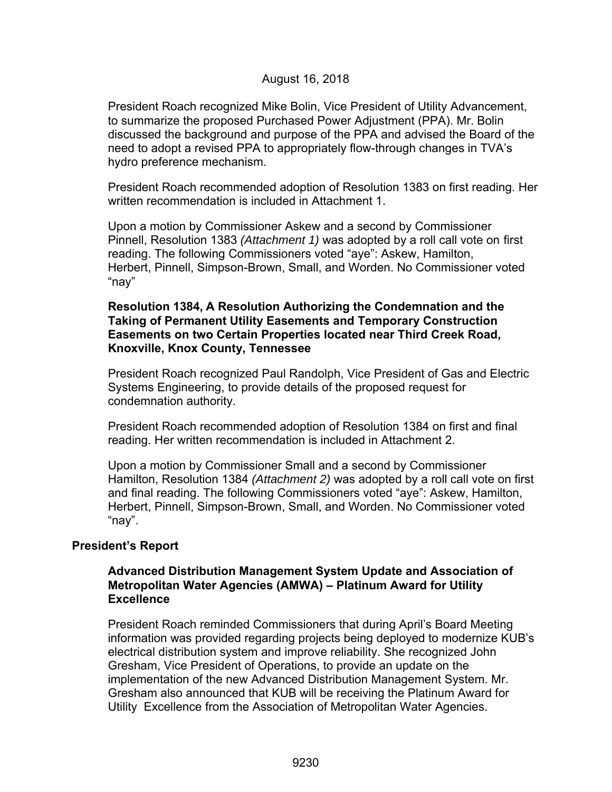#### August 16, 2018

President Roach recognized Mike Bolin, Vice President of Utility Advancement, to summarize the proposed Purchased Power Adjustment (PPA). Mr. Bolin discussed the background and purpose of the PPA and advised the Board of the need to adopt a revised PPA to appropriately flow-through changes in TVA's hydro preference mechanism.

President Roach recommended adoption of Resolution 1383 on first reading. Her written recommendation is included in Attachment 1.

Upon a motion by Commissioner Askew and a second by Commissioner Pinnell, Resolution 1383 *(Attachment 1)* was adopted by a roll call vote on first reading. The following Commissioners voted "aye": Askew, Hamilton, Herbert, Pinnell, Simpson-Brown, Small, and Worden. No Commissioner voted "nay"

#### **Resolution 1384, A Resolution Authorizing the Condemnation and the Taking of Permanent Utility Easements and Temporary Construction Easements on two Certain Properties located near Third Creek Road, Knoxville, Knox County, Tennessee**

President Roach recognized Paul Randolph, Vice President of Gas and Electric Systems Engineering, to provide details of the proposed request for condemnation authority.

President Roach recommended adoption of Resolution 1384 on first and final reading. Her written recommendation is included in Attachment 2.

Upon a motion by Commissioner Small and a second by Commissioner Hamilton, Resolution 1384 *(Attachment 2)* was adopted by a roll call vote on first and final reading. The following Commissioners voted "aye": Askew, Hamilton, Herbert, Pinnell, Simpson-Brown, Small, and Worden. No Commissioner voted "nay".

#### **President's Report**

#### **Advanced Distribution Management System Update and Association of Metropolitan Water Agencies (AMWA) – Platinum Award for Utility Excellence**

 President Roach reminded Commissioners that during April's Board Meeting information was provided regarding projects being deployed to modernize KUB's electrical distribution system and improve reliability. She recognized John Gresham, Vice President of Operations, to provide an update on the implementation of the new Advanced Distribution Management System. Mr. Gresham also announced that KUB will be receiving the Platinum Award for Utility Excellence from the Association of Metropolitan Water Agencies.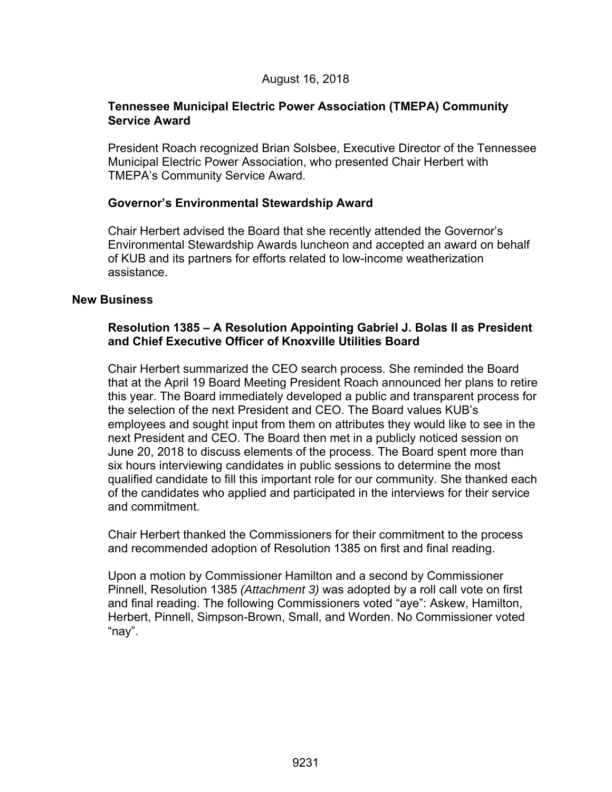#### **Tennessee Municipal Electric Power Association (TMEPA) Community Service Award**

President Roach recognized Brian Solsbee, Executive Director of the Tennessee Municipal Electric Power Association, who presented Chair Herbert with TMEPA's Community Service Award.

## **Governor's Environmental Stewardship Award**

Chair Herbert advised the Board that she recently attended the Governor's Environmental Stewardship Awards luncheon and accepted an award on behalf of KUB and its partners for efforts related to low-income weatherization assistance.

#### **New Business**

## **Resolution 1385 – A Resolution Appointing Gabriel J. Bolas II as President and Chief Executive Officer of Knoxville Utilities Board**

Chair Herbert summarized the CEO search process. She reminded the Board that at the April 19 Board Meeting President Roach announced her plans to retire this year. The Board immediately developed a public and transparent process for the selection of the next President and CEO. The Board values KUB's employees and sought input from them on attributes they would like to see in the next President and CEO. The Board then met in a publicly noticed session on June 20, 2018 to discuss elements of the process. The Board spent more than six hours interviewing candidates in public sessions to determine the most qualified candidate to fill this important role for our community. She thanked each of the candidates who applied and participated in the interviews for their service and commitment.

Chair Herbert thanked the Commissioners for their commitment to the process and recommended adoption of Resolution 1385 on first and final reading.

Upon a motion by Commissioner Hamilton and a second by Commissioner Pinnell, Resolution 1385 *(Attachment 3)* was adopted by a roll call vote on first and final reading. The following Commissioners voted "aye": Askew, Hamilton, Herbert, Pinnell, Simpson-Brown, Small, and Worden. No Commissioner voted "nay".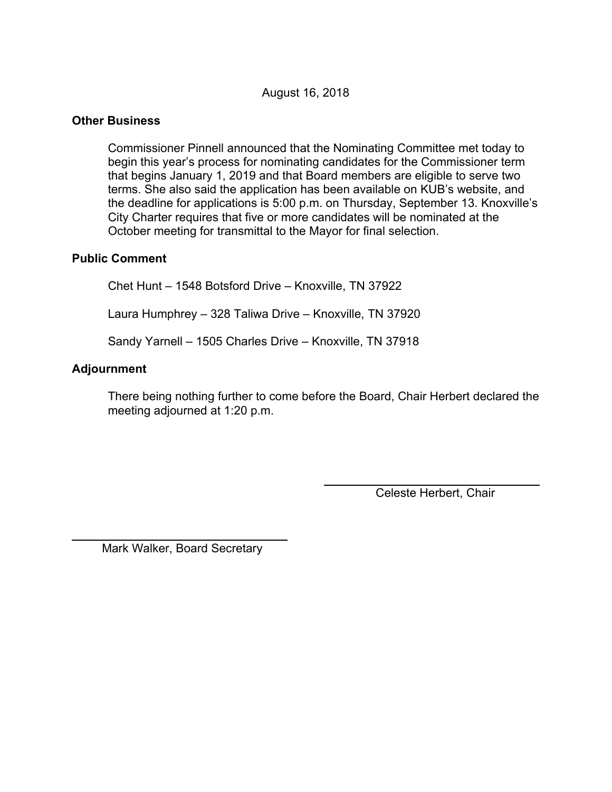## August 16, 2018

## **Other Business**

 Commissioner Pinnell announced that the Nominating Committee met today to begin this year's process for nominating candidates for the Commissioner term that begins January 1, 2019 and that Board members are eligible to serve two terms. She also said the application has been available on KUB's website, and the deadline for applications is 5:00 p.m. on Thursday, September 13. Knoxville's City Charter requires that five or more candidates will be nominated at the October meeting for transmittal to the Mayor for final selection.

#### **Public Comment**

Chet Hunt – 1548 Botsford Drive – Knoxville, TN 37922 Laura Humphrey – 328 Taliwa Drive – Knoxville, TN 37920 Sandy Yarnell – 1505 Charles Drive – Knoxville, TN 37918

#### **Adjournment**

 $\overline{a}$ 

There being nothing further to come before the Board, Chair Herbert declared the meeting adjourned at 1:20 p.m.

Celeste Herbert, Chair

Mark Walker, Board Secretary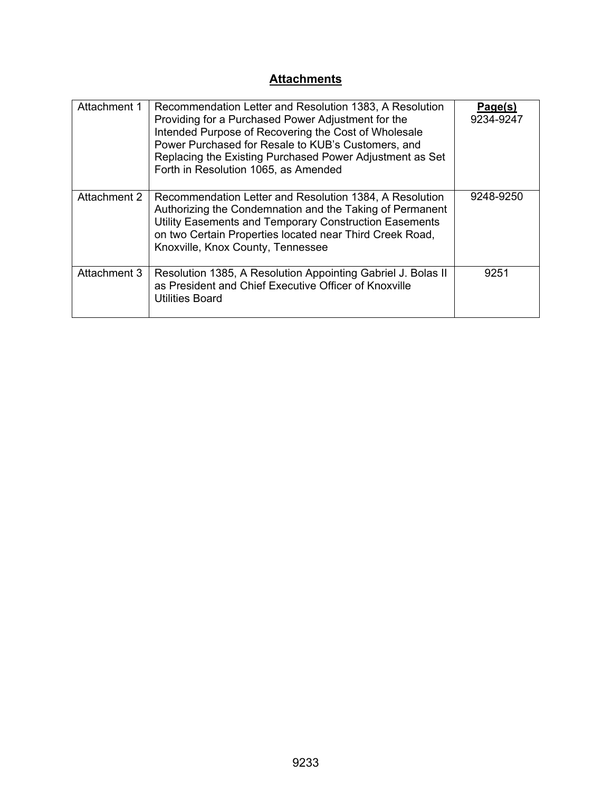# **Attachments**

| Attachment 1 | Recommendation Letter and Resolution 1383, A Resolution<br>Providing for a Purchased Power Adjustment for the<br>Intended Purpose of Recovering the Cost of Wholesale<br>Power Purchased for Resale to KUB's Customers, and<br>Replacing the Existing Purchased Power Adjustment as Set<br>Forth in Resolution 1065, as Amended | Page(s)<br>9234-9247 |
|--------------|---------------------------------------------------------------------------------------------------------------------------------------------------------------------------------------------------------------------------------------------------------------------------------------------------------------------------------|----------------------|
| Attachment 2 | Recommendation Letter and Resolution 1384, A Resolution<br>Authorizing the Condemnation and the Taking of Permanent<br>Utility Easements and Temporary Construction Easements<br>on two Certain Properties located near Third Creek Road,<br>Knoxville, Knox County, Tennessee                                                  | 9248-9250            |
| Attachment 3 | Resolution 1385, A Resolution Appointing Gabriel J. Bolas II<br>as President and Chief Executive Officer of Knoxville<br><b>Utilities Board</b>                                                                                                                                                                                 | 9251                 |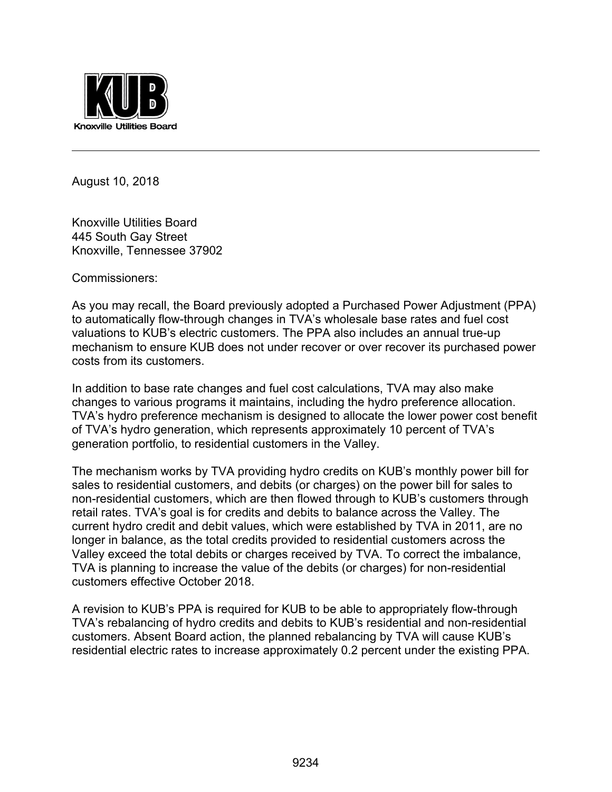

August 10, 2018

 $\overline{a}$ 

Knoxville Utilities Board 445 South Gay Street Knoxville, Tennessee 37902

Commissioners:

As you may recall, the Board previously adopted a Purchased Power Adjustment (PPA) to automatically flow-through changes in TVA's wholesale base rates and fuel cost valuations to KUB's electric customers. The PPA also includes an annual true-up mechanism to ensure KUB does not under recover or over recover its purchased power costs from its customers.

In addition to base rate changes and fuel cost calculations, TVA may also make changes to various programs it maintains, including the hydro preference allocation. TVA's hydro preference mechanism is designed to allocate the lower power cost benefit of TVA's hydro generation, which represents approximately 10 percent of TVA's generation portfolio, to residential customers in the Valley.

The mechanism works by TVA providing hydro credits on KUB's monthly power bill for sales to residential customers, and debits (or charges) on the power bill for sales to non-residential customers, which are then flowed through to KUB's customers through retail rates. TVA's goal is for credits and debits to balance across the Valley. The current hydro credit and debit values, which were established by TVA in 2011, are no longer in balance, as the total credits provided to residential customers across the Valley exceed the total debits or charges received by TVA. To correct the imbalance, TVA is planning to increase the value of the debits (or charges) for non-residential customers effective October 2018.

A revision to KUB's PPA is required for KUB to be able to appropriately flow-through TVA's rebalancing of hydro credits and debits to KUB's residential and non-residential customers. Absent Board action, the planned rebalancing by TVA will cause KUB's residential electric rates to increase approximately 0.2 percent under the existing PPA.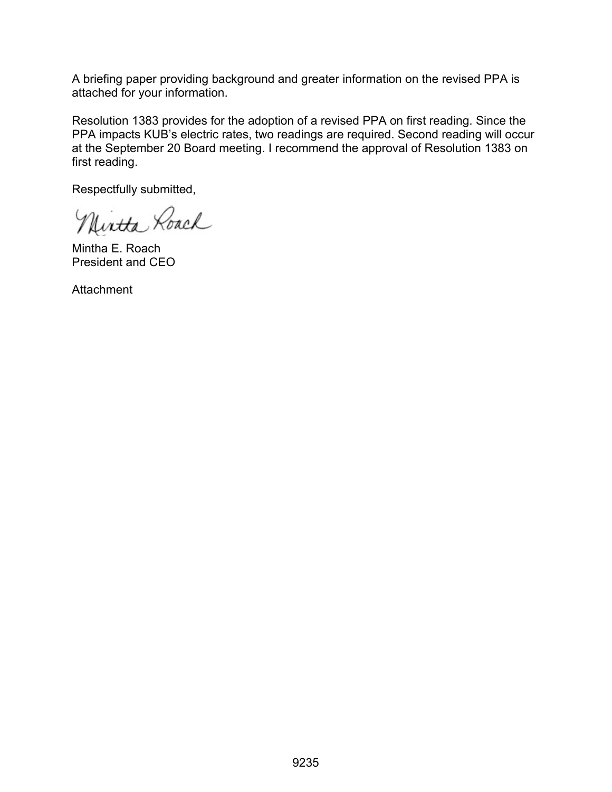A briefing paper providing background and greater information on the revised PPA is attached for your information.

Resolution 1383 provides for the adoption of a revised PPA on first reading. Since the PPA impacts KUB's electric rates, two readings are required. Second reading will occur at the September 20 Board meeting. I recommend the approval of Resolution 1383 on first reading.

Respectfully submitted,

Nintha Roach

Mintha E. Roach President and CEO

**Attachment**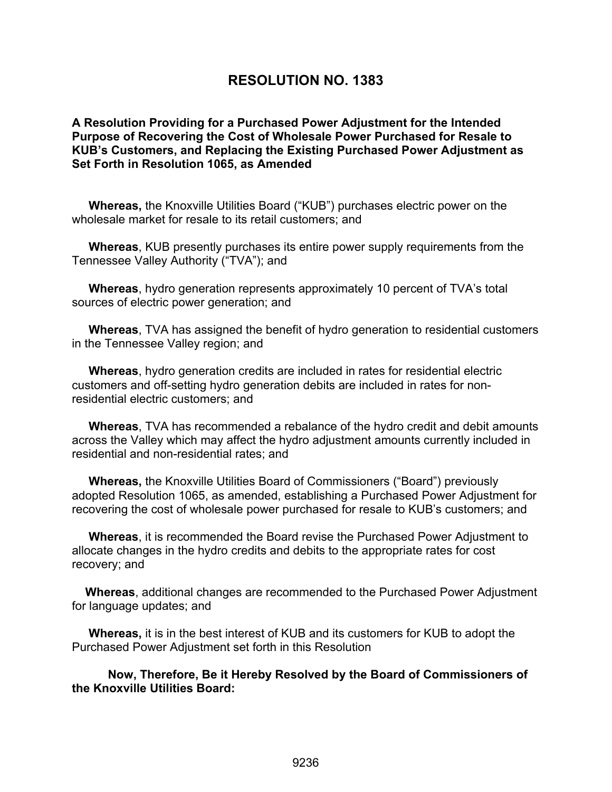# **RESOLUTION NO. 1383**

**A Resolution Providing for a Purchased Power Adjustment for the Intended Purpose of Recovering the Cost of Wholesale Power Purchased for Resale to KUB's Customers, and Replacing the Existing Purchased Power Adjustment as Set Forth in Resolution 1065, as Amended** 

 **Whereas,** the Knoxville Utilities Board ("KUB") purchases electric power on the wholesale market for resale to its retail customers; and

 **Whereas**, KUB presently purchases its entire power supply requirements from the Tennessee Valley Authority ("TVA"); and

 **Whereas**, hydro generation represents approximately 10 percent of TVA's total sources of electric power generation; and

 **Whereas**, TVA has assigned the benefit of hydro generation to residential customers in the Tennessee Valley region; and

 **Whereas**, hydro generation credits are included in rates for residential electric customers and off-setting hydro generation debits are included in rates for nonresidential electric customers; and

 **Whereas**, TVA has recommended a rebalance of the hydro credit and debit amounts across the Valley which may affect the hydro adjustment amounts currently included in residential and non-residential rates; and

 **Whereas,** the Knoxville Utilities Board of Commissioners ("Board") previously adopted Resolution 1065, as amended, establishing a Purchased Power Adjustment for recovering the cost of wholesale power purchased for resale to KUB's customers; and

 **Whereas**, it is recommended the Board revise the Purchased Power Adjustment to allocate changes in the hydro credits and debits to the appropriate rates for cost recovery; and

 **Whereas**, additional changes are recommended to the Purchased Power Adjustment for language updates; and

 **Whereas,** it is in the best interest of KUB and its customers for KUB to adopt the Purchased Power Adjustment set forth in this Resolution

**Now, Therefore, Be it Hereby Resolved by the Board of Commissioners of the Knoxville Utilities Board:**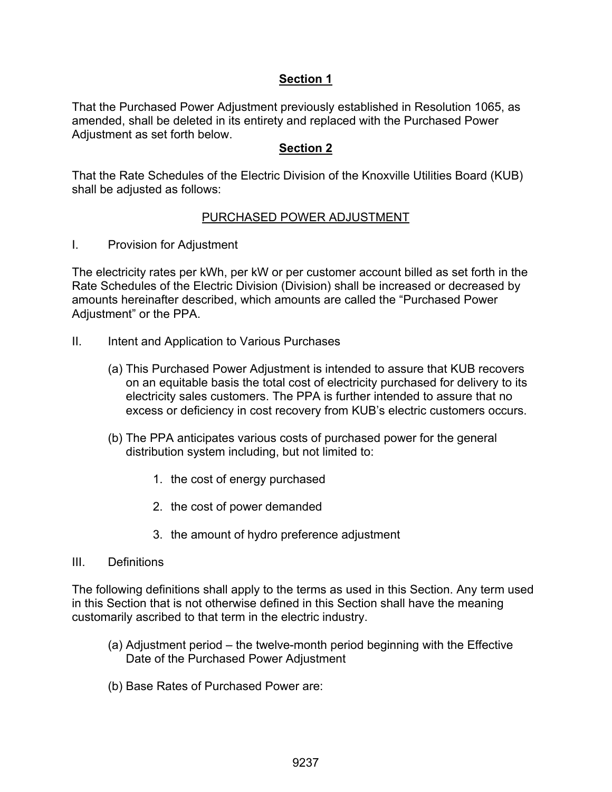## **Section 1**

That the Purchased Power Adjustment previously established in Resolution 1065, as amended, shall be deleted in its entirety and replaced with the Purchased Power Adjustment as set forth below.

## **Section 2**

That the Rate Schedules of the Electric Division of the Knoxville Utilities Board (KUB) shall be adjusted as follows:

## PURCHASED POWER ADJUSTMENT

I. Provision for Adjustment

The electricity rates per kWh, per kW or per customer account billed as set forth in the Rate Schedules of the Electric Division (Division) shall be increased or decreased by amounts hereinafter described, which amounts are called the "Purchased Power Adjustment" or the PPA.

- II. Intent and Application to Various Purchases
	- (a) This Purchased Power Adjustment is intended to assure that KUB recovers on an equitable basis the total cost of electricity purchased for delivery to its electricity sales customers. The PPA is further intended to assure that no excess or deficiency in cost recovery from KUB's electric customers occurs.
	- (b) The PPA anticipates various costs of purchased power for the general distribution system including, but not limited to:
		- 1. the cost of energy purchased
		- 2. the cost of power demanded
		- 3. the amount of hydro preference adjustment

#### III. Definitions

The following definitions shall apply to the terms as used in this Section. Any term used in this Section that is not otherwise defined in this Section shall have the meaning customarily ascribed to that term in the electric industry.

- (a) Adjustment period the twelve-month period beginning with the Effective Date of the Purchased Power Adjustment
- (b) Base Rates of Purchased Power are: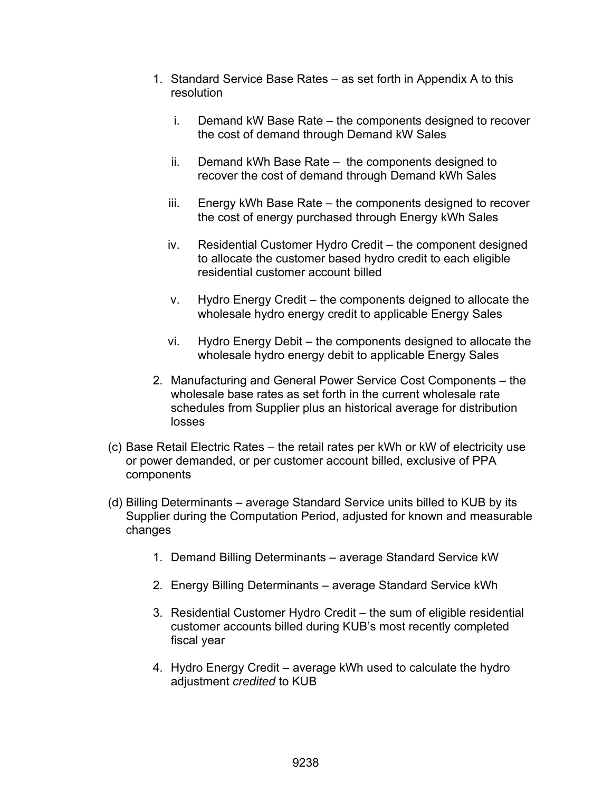- 1. Standard Service Base Rates as set forth in Appendix A to this resolution
	- i. Demand kW Base Rate the components designed to recover the cost of demand through Demand kW Sales
	- ii. Demand kWh Base Rate the components designed to recover the cost of demand through Demand kWh Sales
	- iii. Energy kWh Base Rate the components designed to recover the cost of energy purchased through Energy kWh Sales
	- iv. Residential Customer Hydro Credit the component designed to allocate the customer based hydro credit to each eligible residential customer account billed
	- v. Hydro Energy Credit the components deigned to allocate the wholesale hydro energy credit to applicable Energy Sales
	- vi. Hydro Energy Debit the components designed to allocate the wholesale hydro energy debit to applicable Energy Sales
- 2. Manufacturing and General Power Service Cost Components the wholesale base rates as set forth in the current wholesale rate schedules from Supplier plus an historical average for distribution losses
- (c) Base Retail Electric Rates the retail rates per kWh or kW of electricity use or power demanded, or per customer account billed, exclusive of PPA components
- (d) Billing Determinants average Standard Service units billed to KUB by its Supplier during the Computation Period, adjusted for known and measurable changes
	- 1. Demand Billing Determinants average Standard Service kW
	- 2. Energy Billing Determinants average Standard Service kWh
	- 3. Residential Customer Hydro Credit the sum of eligible residential customer accounts billed during KUB's most recently completed fiscal year
	- 4. Hydro Energy Credit average kWh used to calculate the hydro adjustment *credited* to KUB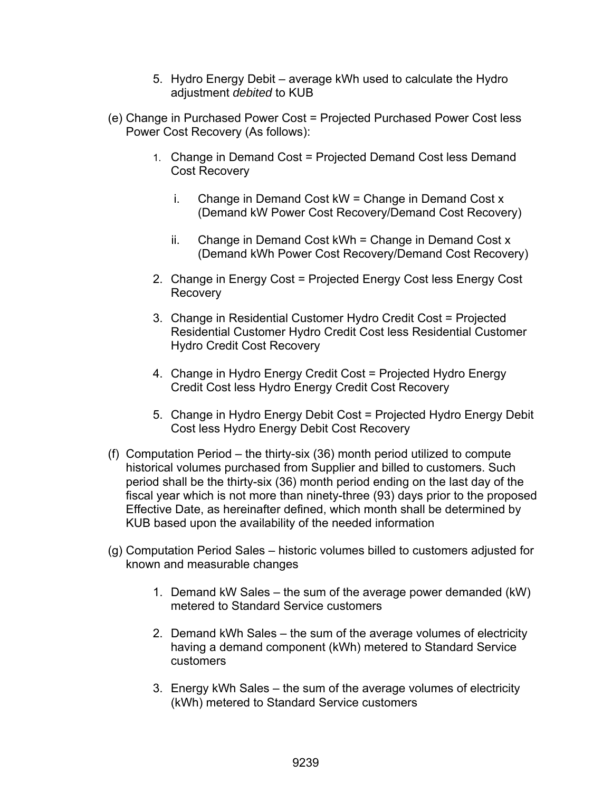- 5. Hydro Energy Debit average kWh used to calculate the Hydro adjustment *debited* to KUB
- (e) Change in Purchased Power Cost = Projected Purchased Power Cost less Power Cost Recovery (As follows):
	- 1. Change in Demand Cost = Projected Demand Cost less Demand Cost Recovery
		- i. Change in Demand Cost  $kW =$ Change in Demand Cost x (Demand kW Power Cost Recovery/Demand Cost Recovery)
		- ii. Change in Demand Cost kWh = Change in Demand Cost x (Demand kWh Power Cost Recovery/Demand Cost Recovery)
	- 2. Change in Energy Cost = Projected Energy Cost less Energy Cost **Recovery**
	- 3. Change in Residential Customer Hydro Credit Cost = Projected Residential Customer Hydro Credit Cost less Residential Customer Hydro Credit Cost Recovery
	- 4. Change in Hydro Energy Credit Cost = Projected Hydro Energy Credit Cost less Hydro Energy Credit Cost Recovery
	- 5. Change in Hydro Energy Debit Cost = Projected Hydro Energy Debit Cost less Hydro Energy Debit Cost Recovery
- (f) Computation Period the thirty-six (36) month period utilized to compute historical volumes purchased from Supplier and billed to customers. Such period shall be the thirty-six (36) month period ending on the last day of the fiscal year which is not more than ninety-three (93) days prior to the proposed Effective Date, as hereinafter defined, which month shall be determined by KUB based upon the availability of the needed information
- (g) Computation Period Sales historic volumes billed to customers adjusted for known and measurable changes
	- 1. Demand kW Sales the sum of the average power demanded (kW) metered to Standard Service customers
	- 2. Demand kWh Sales the sum of the average volumes of electricity having a demand component (kWh) metered to Standard Service customers
	- 3. Energy kWh Sales the sum of the average volumes of electricity (kWh) metered to Standard Service customers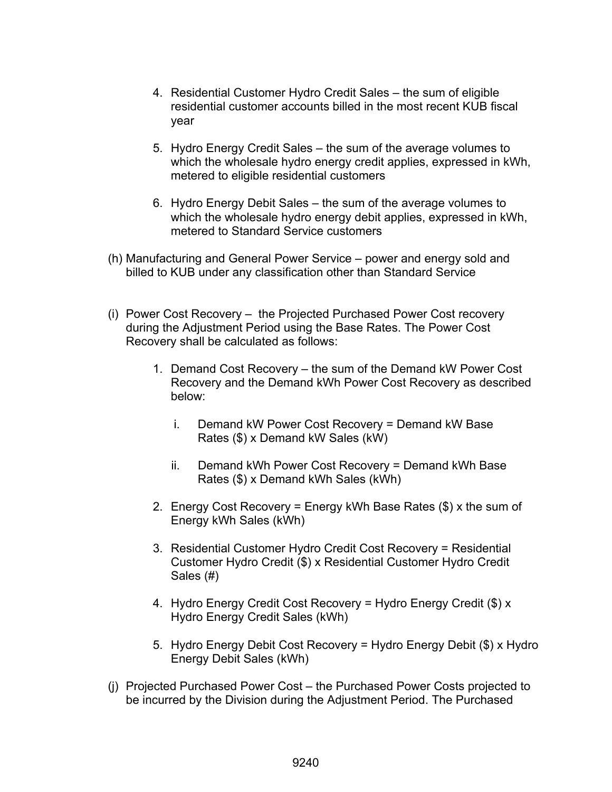- 4. Residential Customer Hydro Credit Sales the sum of eligible residential customer accounts billed in the most recent KUB fiscal year
- 5. Hydro Energy Credit Sales the sum of the average volumes to which the wholesale hydro energy credit applies, expressed in kWh, metered to eligible residential customers
- 6. Hydro Energy Debit Sales the sum of the average volumes to which the wholesale hydro energy debit applies, expressed in kWh, metered to Standard Service customers
- (h) Manufacturing and General Power Service power and energy sold and billed to KUB under any classification other than Standard Service
- (i) Power Cost Recovery the Projected Purchased Power Cost recovery during the Adjustment Period using the Base Rates. The Power Cost Recovery shall be calculated as follows:
	- 1. Demand Cost Recovery the sum of the Demand kW Power Cost Recovery and the Demand kWh Power Cost Recovery as described below:
		- i. Demand kW Power Cost Recovery = Demand kW Base Rates (\$) x Demand kW Sales (kW)
		- ii. Demand kWh Power Cost Recovery = Demand kWh Base Rates (\$) x Demand kWh Sales (kWh)
	- 2. Energy Cost Recovery = Energy kWh Base Rates (\$) x the sum of Energy kWh Sales (kWh)
	- 3. Residential Customer Hydro Credit Cost Recovery = Residential Customer Hydro Credit (\$) x Residential Customer Hydro Credit Sales (#)
	- 4. Hydro Energy Credit Cost Recovery = Hydro Energy Credit (\$) x Hydro Energy Credit Sales (kWh)
	- 5. Hydro Energy Debit Cost Recovery = Hydro Energy Debit (\$) x Hydro Energy Debit Sales (kWh)
- (j) Projected Purchased Power Cost the Purchased Power Costs projected to be incurred by the Division during the Adjustment Period. The Purchased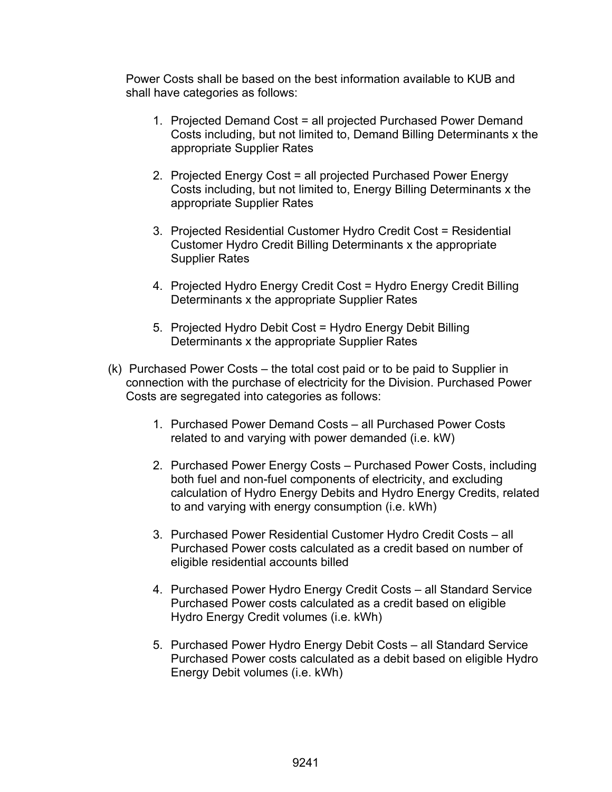Power Costs shall be based on the best information available to KUB and shall have categories as follows:

- 1. Projected Demand Cost = all projected Purchased Power Demand Costs including, but not limited to, Demand Billing Determinants x the appropriate Supplier Rates
- 2. Projected Energy Cost = all projected Purchased Power Energy Costs including, but not limited to, Energy Billing Determinants x the appropriate Supplier Rates
- 3. Projected Residential Customer Hydro Credit Cost = Residential Customer Hydro Credit Billing Determinants x the appropriate Supplier Rates
- 4. Projected Hydro Energy Credit Cost = Hydro Energy Credit Billing Determinants x the appropriate Supplier Rates
- 5. Projected Hydro Debit Cost = Hydro Energy Debit Billing Determinants x the appropriate Supplier Rates
- (k) Purchased Power Costs the total cost paid or to be paid to Supplier in connection with the purchase of electricity for the Division. Purchased Power Costs are segregated into categories as follows:
	- 1. Purchased Power Demand Costs all Purchased Power Costs related to and varying with power demanded (i.e. kW)
	- 2. Purchased Power Energy Costs Purchased Power Costs, including both fuel and non-fuel components of electricity, and excluding calculation of Hydro Energy Debits and Hydro Energy Credits, related to and varying with energy consumption (i.e. kWh)
	- 3. Purchased Power Residential Customer Hydro Credit Costs all Purchased Power costs calculated as a credit based on number of eligible residential accounts billed
	- 4. Purchased Power Hydro Energy Credit Costs all Standard Service Purchased Power costs calculated as a credit based on eligible Hydro Energy Credit volumes (i.e. kWh)
	- 5. Purchased Power Hydro Energy Debit Costs all Standard Service Purchased Power costs calculated as a debit based on eligible Hydro Energy Debit volumes (i.e. kWh)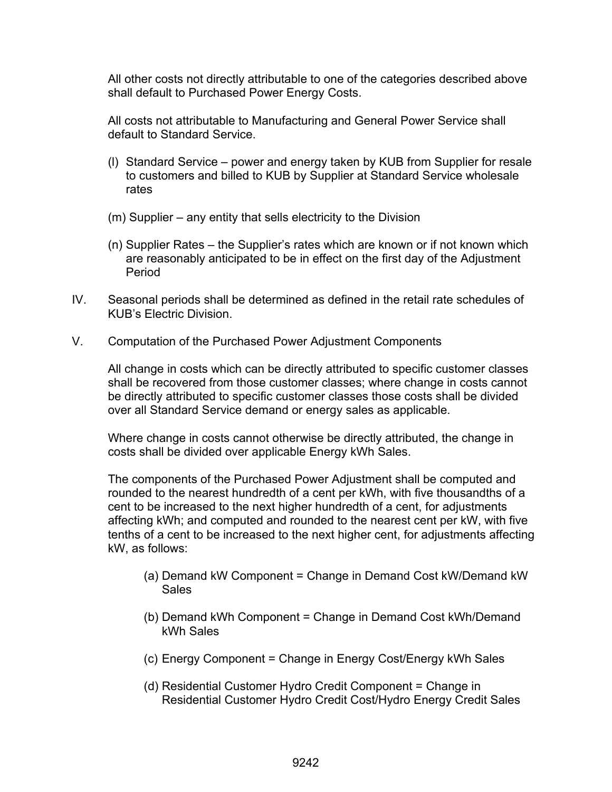All other costs not directly attributable to one of the categories described above shall default to Purchased Power Energy Costs.

All costs not attributable to Manufacturing and General Power Service shall default to Standard Service.

- (l) Standard Service power and energy taken by KUB from Supplier for resale to customers and billed to KUB by Supplier at Standard Service wholesale rates
- (m) Supplier any entity that sells electricity to the Division
- (n) Supplier Rates the Supplier's rates which are known or if not known which are reasonably anticipated to be in effect on the first day of the Adjustment Period
- IV. Seasonal periods shall be determined as defined in the retail rate schedules of KUB's Electric Division.
- V. Computation of the Purchased Power Adjustment Components

All change in costs which can be directly attributed to specific customer classes shall be recovered from those customer classes; where change in costs cannot be directly attributed to specific customer classes those costs shall be divided over all Standard Service demand or energy sales as applicable.

Where change in costs cannot otherwise be directly attributed, the change in costs shall be divided over applicable Energy kWh Sales.

The components of the Purchased Power Adjustment shall be computed and rounded to the nearest hundredth of a cent per kWh, with five thousandths of a cent to be increased to the next higher hundredth of a cent, for adjustments affecting kWh; and computed and rounded to the nearest cent per kW, with five tenths of a cent to be increased to the next higher cent, for adjustments affecting kW, as follows:

- (a) Demand kW Component = Change in Demand Cost kW/Demand kW **Sales**
- (b) Demand kWh Component = Change in Demand Cost kWh/Demand kWh Sales
- (c) Energy Component = Change in Energy Cost/Energy kWh Sales
- (d) Residential Customer Hydro Credit Component = Change in Residential Customer Hydro Credit Cost/Hydro Energy Credit Sales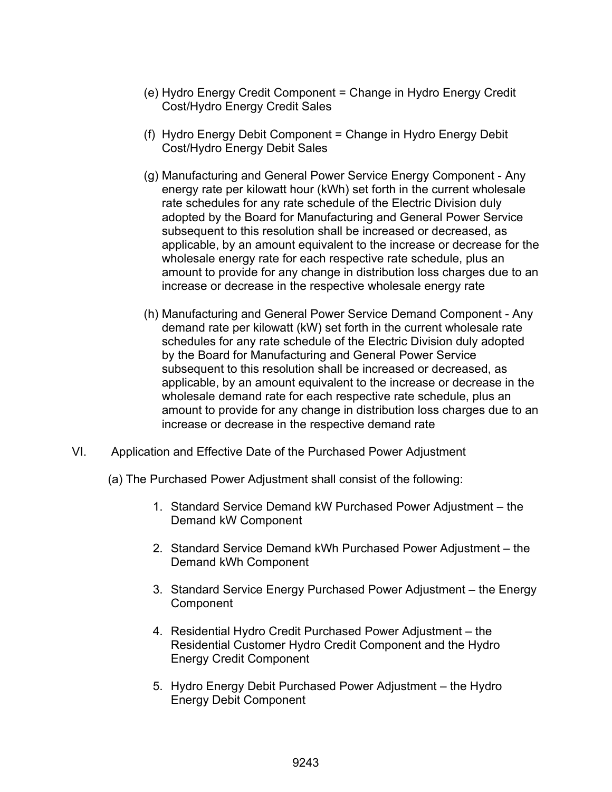- (e) Hydro Energy Credit Component = Change in Hydro Energy Credit Cost/Hydro Energy Credit Sales
- (f) Hydro Energy Debit Component = Change in Hydro Energy Debit Cost/Hydro Energy Debit Sales
- (g) Manufacturing and General Power Service Energy Component Any energy rate per kilowatt hour (kWh) set forth in the current wholesale rate schedules for any rate schedule of the Electric Division duly adopted by the Board for Manufacturing and General Power Service subsequent to this resolution shall be increased or decreased, as applicable, by an amount equivalent to the increase or decrease for the wholesale energy rate for each respective rate schedule, plus an amount to provide for any change in distribution loss charges due to an increase or decrease in the respective wholesale energy rate
- (h) Manufacturing and General Power Service Demand Component Any demand rate per kilowatt (kW) set forth in the current wholesale rate schedules for any rate schedule of the Electric Division duly adopted by the Board for Manufacturing and General Power Service subsequent to this resolution shall be increased or decreased, as applicable, by an amount equivalent to the increase or decrease in the wholesale demand rate for each respective rate schedule, plus an amount to provide for any change in distribution loss charges due to an increase or decrease in the respective demand rate
- VI. Application and Effective Date of the Purchased Power Adjustment
	- (a) The Purchased Power Adjustment shall consist of the following:
		- 1. Standard Service Demand kW Purchased Power Adjustment the Demand kW Component
		- 2. Standard Service Demand kWh Purchased Power Adjustment the Demand kWh Component
		- 3. Standard Service Energy Purchased Power Adjustment the Energy **Component**
		- 4. Residential Hydro Credit Purchased Power Adjustment the Residential Customer Hydro Credit Component and the Hydro Energy Credit Component
		- 5. Hydro Energy Debit Purchased Power Adjustment the Hydro Energy Debit Component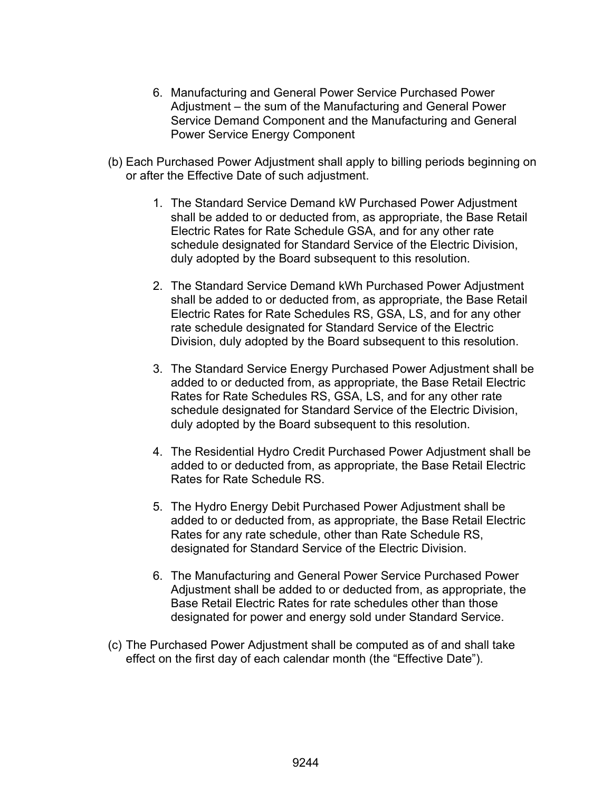- 6. Manufacturing and General Power Service Purchased Power Adjustment – the sum of the Manufacturing and General Power Service Demand Component and the Manufacturing and General Power Service Energy Component
- (b) Each Purchased Power Adjustment shall apply to billing periods beginning on or after the Effective Date of such adjustment.
	- 1. The Standard Service Demand kW Purchased Power Adjustment shall be added to or deducted from, as appropriate, the Base Retail Electric Rates for Rate Schedule GSA, and for any other rate schedule designated for Standard Service of the Electric Division, duly adopted by the Board subsequent to this resolution.
	- 2. The Standard Service Demand kWh Purchased Power Adjustment shall be added to or deducted from, as appropriate, the Base Retail Electric Rates for Rate Schedules RS, GSA, LS, and for any other rate schedule designated for Standard Service of the Electric Division, duly adopted by the Board subsequent to this resolution.
	- 3. The Standard Service Energy Purchased Power Adjustment shall be added to or deducted from, as appropriate, the Base Retail Electric Rates for Rate Schedules RS, GSA, LS, and for any other rate schedule designated for Standard Service of the Electric Division, duly adopted by the Board subsequent to this resolution.
	- 4. The Residential Hydro Credit Purchased Power Adjustment shall be added to or deducted from, as appropriate, the Base Retail Electric Rates for Rate Schedule RS.
	- 5. The Hydro Energy Debit Purchased Power Adjustment shall be added to or deducted from, as appropriate, the Base Retail Electric Rates for any rate schedule, other than Rate Schedule RS, designated for Standard Service of the Electric Division.
	- 6. The Manufacturing and General Power Service Purchased Power Adjustment shall be added to or deducted from, as appropriate, the Base Retail Electric Rates for rate schedules other than those designated for power and energy sold under Standard Service.
- (c) The Purchased Power Adjustment shall be computed as of and shall take effect on the first day of each calendar month (the "Effective Date").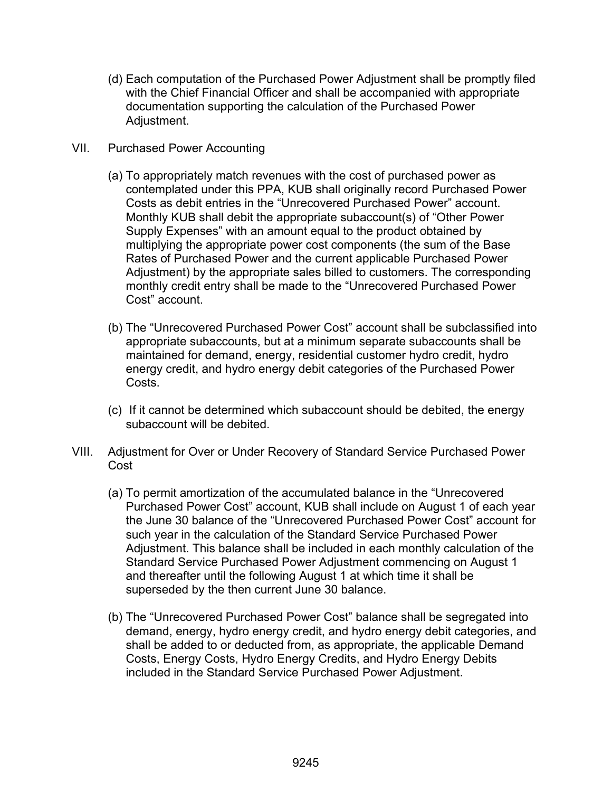- (d) Each computation of the Purchased Power Adjustment shall be promptly filed with the Chief Financial Officer and shall be accompanied with appropriate documentation supporting the calculation of the Purchased Power Adjustment.
- VII. Purchased Power Accounting
	- (a) To appropriately match revenues with the cost of purchased power as contemplated under this PPA, KUB shall originally record Purchased Power Costs as debit entries in the "Unrecovered Purchased Power" account. Monthly KUB shall debit the appropriate subaccount(s) of "Other Power Supply Expenses" with an amount equal to the product obtained by multiplying the appropriate power cost components (the sum of the Base Rates of Purchased Power and the current applicable Purchased Power Adjustment) by the appropriate sales billed to customers. The corresponding monthly credit entry shall be made to the "Unrecovered Purchased Power Cost" account.
	- (b) The "Unrecovered Purchased Power Cost" account shall be subclassified into appropriate subaccounts, but at a minimum separate subaccounts shall be maintained for demand, energy, residential customer hydro credit, hydro energy credit, and hydro energy debit categories of the Purchased Power Costs.
	- (c) If it cannot be determined which subaccount should be debited, the energy subaccount will be debited.
- VIII. Adjustment for Over or Under Recovery of Standard Service Purchased Power Cost
	- (a) To permit amortization of the accumulated balance in the "Unrecovered Purchased Power Cost" account, KUB shall include on August 1 of each year the June 30 balance of the "Unrecovered Purchased Power Cost" account for such year in the calculation of the Standard Service Purchased Power Adjustment. This balance shall be included in each monthly calculation of the Standard Service Purchased Power Adjustment commencing on August 1 and thereafter until the following August 1 at which time it shall be superseded by the then current June 30 balance.
	- (b) The "Unrecovered Purchased Power Cost" balance shall be segregated into demand, energy, hydro energy credit, and hydro energy debit categories, and shall be added to or deducted from, as appropriate, the applicable Demand Costs, Energy Costs, Hydro Energy Credits, and Hydro Energy Debits included in the Standard Service Purchased Power Adjustment.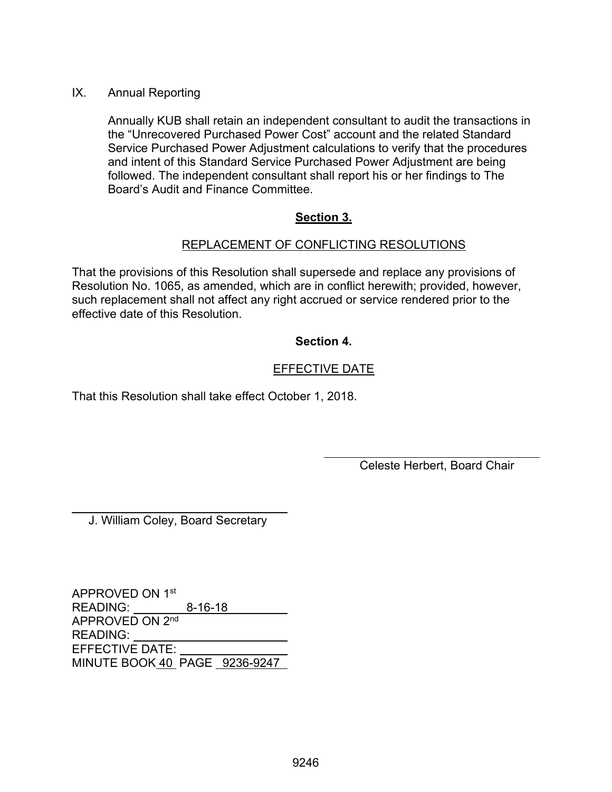## IX. Annual Reporting

Annually KUB shall retain an independent consultant to audit the transactions in the "Unrecovered Purchased Power Cost" account and the related Standard Service Purchased Power Adjustment calculations to verify that the procedures and intent of this Standard Service Purchased Power Adjustment are being followed. The independent consultant shall report his or her findings to The Board's Audit and Finance Committee.

## **Section 3.**

## REPLACEMENT OF CONFLICTING RESOLUTIONS

That the provisions of this Resolution shall supersede and replace any provisions of Resolution No. 1065, as amended, which are in conflict herewith; provided, however, such replacement shall not affect any right accrued or service rendered prior to the effective date of this Resolution.

## **Section 4.**

## EFFECTIVE DATE

 $\overline{a}$ 

That this Resolution shall take effect October 1, 2018.

Celeste Herbert, Board Chair

J. William Coley, Board Secretary

 $\overline{a}$ 

APPROVED ON 1st READING: 8-16-18 APPROVED ON 2<sup>nd</sup> READING: EFFECTIVE DATE: MINUTE BOOK 40 PAGE 9236-9247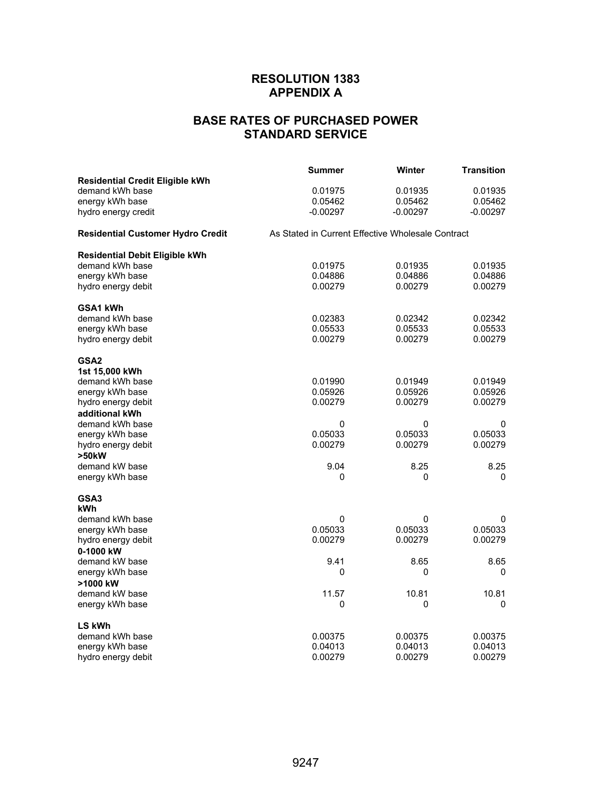## **RESOLUTION 1383 APPENDIX A**

# **BASE RATES OF PURCHASED POWER STANDARD SERVICE**

|                                          | <b>Summer</b>                                     | Winter     | <b>Transition</b> |  |
|------------------------------------------|---------------------------------------------------|------------|-------------------|--|
| <b>Residential Credit Eligible kWh</b>   |                                                   |            |                   |  |
| demand kWh base                          | 0.01975                                           | 0.01935    | 0.01935           |  |
| energy kWh base                          | 0.05462                                           | 0.05462    | 0.05462           |  |
| hydro energy credit                      | $-0.00297$                                        | $-0.00297$ | $-0.00297$        |  |
| <b>Residential Customer Hydro Credit</b> | As Stated in Current Effective Wholesale Contract |            |                   |  |
| <b>Residential Debit Eligible kWh</b>    |                                                   |            |                   |  |
| demand kWh base                          | 0.01975                                           | 0.01935    | 0.01935           |  |
| energy kWh base                          | 0.04886                                           | 0.04886    | 0.04886           |  |
| hydro energy debit                       | 0.00279                                           | 0.00279    | 0.00279           |  |
| GSA1 kWh                                 |                                                   |            |                   |  |
| demand kWh base                          | 0.02383                                           | 0.02342    | 0.02342           |  |
| energy kWh base                          | 0.05533                                           | 0.05533    | 0.05533           |  |
| hydro energy debit                       | 0.00279                                           | 0.00279    | 0.00279           |  |
| GSA2                                     |                                                   |            |                   |  |
| 1st 15,000 kWh                           |                                                   |            |                   |  |
| demand kWh base                          | 0.01990                                           | 0.01949    | 0.01949           |  |
| energy kWh base                          | 0.05926                                           | 0.05926    | 0.05926           |  |
| hydro energy debit                       | 0.00279                                           | 0.00279    | 0.00279           |  |
| additional kWh                           |                                                   |            |                   |  |
| demand kWh base                          | 0                                                 | 0          | 0                 |  |
| energy kWh base                          | 0.05033                                           | 0.05033    | 0.05033           |  |
| hydro energy debit                       | 0.00279                                           | 0.00279    | 0.00279           |  |
| >50kW<br>demand kW base                  | 9.04                                              | 8.25       | 8.25              |  |
| energy kWh base                          | 0                                                 | 0          | 0                 |  |
|                                          |                                                   |            |                   |  |
| GSA3                                     |                                                   |            |                   |  |
| kWh<br>demand kWh base                   | 0                                                 | 0          | 0                 |  |
| energy kWh base                          | 0.05033                                           | 0.05033    | 0.05033           |  |
| hydro energy debit                       | 0.00279                                           | 0.00279    | 0.00279           |  |
| 0-1000 kW                                |                                                   |            |                   |  |
| demand kW base                           | 9.41                                              | 8.65       | 8.65              |  |
| energy kWh base                          | 0                                                 | 0          | 0                 |  |
| >1000 kW                                 |                                                   |            |                   |  |
| demand kW base                           | 11.57                                             | 10.81      | 10.81             |  |
| energy kWh base                          | 0                                                 | 0          | 0                 |  |
| <b>LS kWh</b>                            |                                                   |            |                   |  |
| demand kWh base                          | 0.00375                                           | 0.00375    | 0.00375           |  |
| energy kWh base                          | 0.04013                                           | 0.04013    | 0.04013           |  |
| hydro energy debit                       | 0.00279                                           | 0.00279    | 0.00279           |  |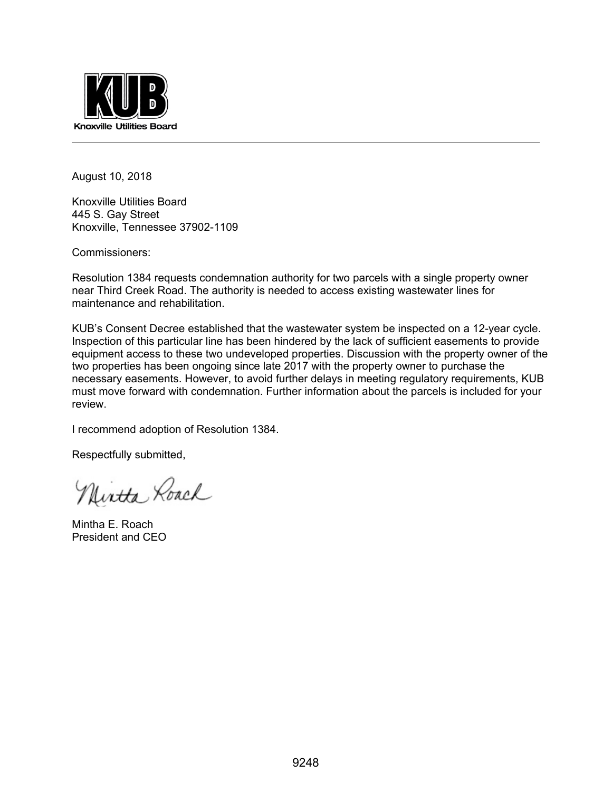

August 10, 2018

Knoxville Utilities Board 445 S. Gay Street Knoxville, Tennessee 37902-1109

Commissioners:

Resolution 1384 requests condemnation authority for two parcels with a single property owner near Third Creek Road. The authority is needed to access existing wastewater lines for maintenance and rehabilitation.

KUB's Consent Decree established that the wastewater system be inspected on a 12-year cycle. Inspection of this particular line has been hindered by the lack of sufficient easements to provide equipment access to these two undeveloped properties. Discussion with the property owner of the two properties has been ongoing since late 2017 with the property owner to purchase the necessary easements. However, to avoid further delays in meeting regulatory requirements, KUB must move forward with condemnation. Further information about the parcels is included for your review.

I recommend adoption of Resolution 1384.

Respectfully submitted,

Nintha Roach

Mintha E. Roach President and CEO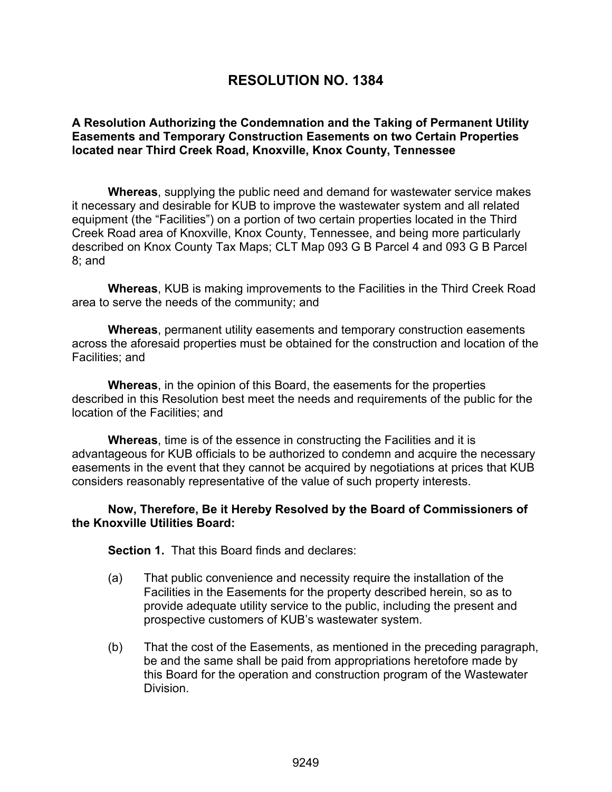# **RESOLUTION NO. 1384**

## **A Resolution Authorizing the Condemnation and the Taking of Permanent Utility Easements and Temporary Construction Easements on two Certain Properties located near Third Creek Road, Knoxville, Knox County, Tennessee**

**Whereas**, supplying the public need and demand for wastewater service makes it necessary and desirable for KUB to improve the wastewater system and all related equipment (the "Facilities") on a portion of two certain properties located in the Third Creek Road area of Knoxville, Knox County, Tennessee, and being more particularly described on Knox County Tax Maps; CLT Map 093 G B Parcel 4 and 093 G B Parcel 8; and

**Whereas**, KUB is making improvements to the Facilities in the Third Creek Road area to serve the needs of the community; and

**Whereas**, permanent utility easements and temporary construction easements across the aforesaid properties must be obtained for the construction and location of the Facilities; and

**Whereas**, in the opinion of this Board, the easements for the properties described in this Resolution best meet the needs and requirements of the public for the location of the Facilities; and

**Whereas**, time is of the essence in constructing the Facilities and it is advantageous for KUB officials to be authorized to condemn and acquire the necessary easements in the event that they cannot be acquired by negotiations at prices that KUB considers reasonably representative of the value of such property interests.

**Now, Therefore, Be it Hereby Resolved by the Board of Commissioners of the Knoxville Utilities Board:** 

**Section 1.** That this Board finds and declares:

- (a) That public convenience and necessity require the installation of the Facilities in the Easements for the property described herein, so as to provide adequate utility service to the public, including the present and prospective customers of KUB's wastewater system.
- (b) That the cost of the Easements, as mentioned in the preceding paragraph, be and the same shall be paid from appropriations heretofore made by this Board for the operation and construction program of the Wastewater Division.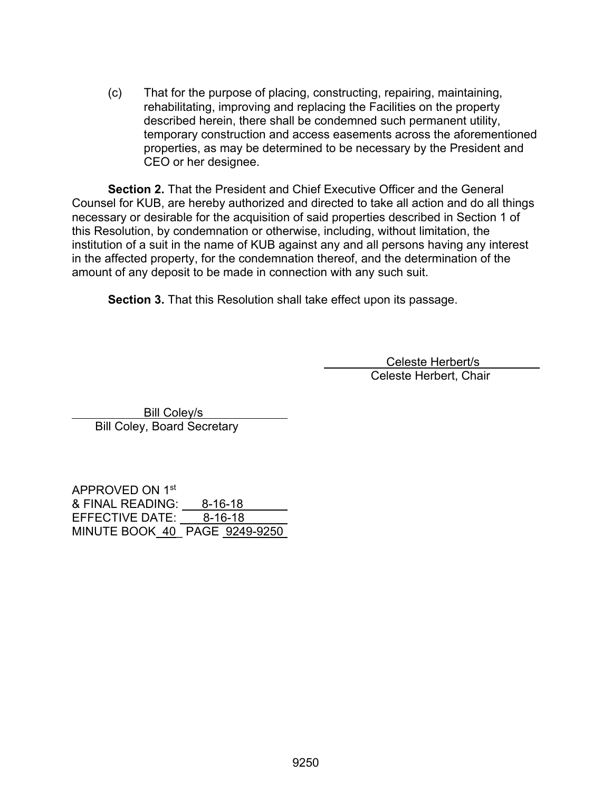(c) That for the purpose of placing, constructing, repairing, maintaining, rehabilitating, improving and replacing the Facilities on the property described herein, there shall be condemned such permanent utility, temporary construction and access easements across the aforementioned properties, as may be determined to be necessary by the President and CEO or her designee.

**Section 2.** That the President and Chief Executive Officer and the General Counsel for KUB, are hereby authorized and directed to take all action and do all things necessary or desirable for the acquisition of said properties described in Section 1 of this Resolution, by condemnation or otherwise, including, without limitation, the institution of a suit in the name of KUB against any and all persons having any interest in the affected property, for the condemnation thereof, and the determination of the amount of any deposit to be made in connection with any such suit.

**Section 3.** That this Resolution shall take effect upon its passage.

 Celeste Herbert/s Celeste Herbert, Chair

 Bill Coley/s Bill Coley, Board Secretary

APPROVED ON 1st & FINAL READING: 8-16-18 EFFECTIVE DATE: 8-16-18 MINUTE BOOK 40\_ PAGE 9249-9250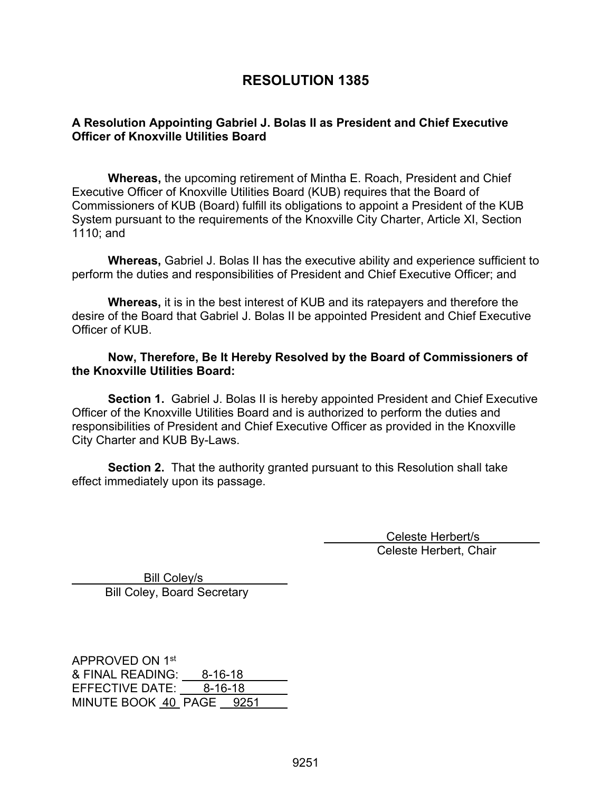# **RESOLUTION 1385**

## **A Resolution Appointing Gabriel J. Bolas II as President and Chief Executive Officer of Knoxville Utilities Board**

 **Whereas,** the upcoming retirement of Mintha E. Roach, President and Chief Executive Officer of Knoxville Utilities Board (KUB) requires that the Board of Commissioners of KUB (Board) fulfill its obligations to appoint a President of the KUB System pursuant to the requirements of the Knoxville City Charter, Article XI, Section 1110; and

**Whereas,** Gabriel J. Bolas II has the executive ability and experience sufficient to perform the duties and responsibilities of President and Chief Executive Officer; and

**Whereas,** it is in the best interest of KUB and its ratepayers and therefore the desire of the Board that Gabriel J. Bolas II be appointed President and Chief Executive Officer of KUB.

#### **Now, Therefore, Be It Hereby Resolved by the Board of Commissioners of the Knoxville Utilities Board:**

**Section 1.** Gabriel J. Bolas II is hereby appointed President and Chief Executive Officer of the Knoxville Utilities Board and is authorized to perform the duties and responsibilities of President and Chief Executive Officer as provided in the Knoxville City Charter and KUB By-Laws.

**Section 2.** That the authority granted pursuant to this Resolution shall take effect immediately upon its passage.

> Celeste Herbert/s Celeste Herbert, Chair

 Bill Coley/s Bill Coley, Board Secretary

APPROVED ON 1st & FINAL READING: 8-16-18 EFFECTIVE DATE: 8-16-18 MINUTE BOOK 40 PAGE 9251